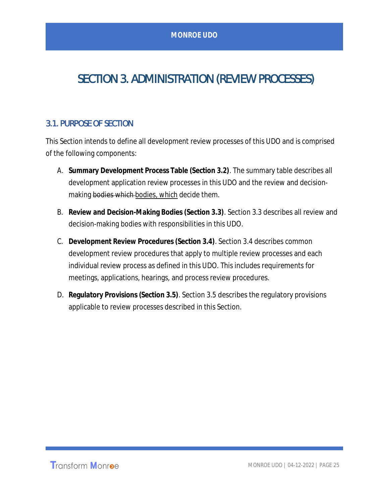# SECTION 3. ADMINISTRATION (REVIEW PROCESSES)

## 3.1. PURPOSE OF SECTION

This Section intends to define all development review processes of this UDO and is comprised of the following components:

- A. **Summary Development Process Table (Section 3.2)**. The summary table describes all development application review processes in this UDO and the review and decisionmaking bodies which bodies, which decide them.
- B. **Review and Decision-Making Bodies (Section 3.3)**. Section 3.3 describes all review and decision-making bodies with responsibilities in this UDO.
- C. **Development Review Procedures (Section 3.4)**. Section 3.4 describes common development review procedures that apply to multiple review processes and each individual review process as defined in this UDO. This includes requirements for meetings, applications, hearings, and process review procedures.
- D. **Regulatory Provisions (Section 3.5)**. Section 3.5 describes the regulatory provisions applicable to review processes described in this Section.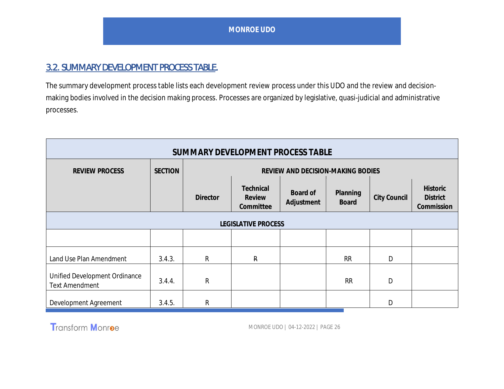## 3.2. SUMMARY DEVELOPMENT PROCESS TABLE.

The summary development process table lists each development review process under this UDO and the review and decisionmaking bodies involved in the decision making process. Processes are organized by legislative, quasi-judicial and administrative processes.

| SUMMARY DEVELOPMENT PROCESS TABLE                      |                |                                   |                                  |                        |                          |              |                                                  |
|--------------------------------------------------------|----------------|-----------------------------------|----------------------------------|------------------------|--------------------------|--------------|--------------------------------------------------|
| <b>REVIEW PROCESS</b>                                  | <b>SECTION</b> | REVIEW AND DECISION-MAKING BODIES |                                  |                        |                          |              |                                                  |
|                                                        |                | <b>Director</b>                   | Technical<br>Review<br>Committee | Board of<br>Adjustment | Planning<br><b>Board</b> | City Council | <b>Historic</b><br><b>District</b><br>Commission |
| <b>LEGISLATIVE PROCESS</b>                             |                |                                   |                                  |                        |                          |              |                                                  |
|                                                        |                |                                   |                                  |                        |                          |              |                                                  |
| Land Use Plan Amendment                                | 3.4.3.         | R                                 | $\mathsf{R}$                     |                        | <b>RR</b>                | D            |                                                  |
| Unified Development Ordinance<br><b>Text Amendment</b> | 3.4.4.         | R                                 |                                  |                        | <b>RR</b>                | D            |                                                  |
| Development Agreement                                  | 3.4.5.         | R                                 |                                  |                        |                          | D            |                                                  |

Transform Monroe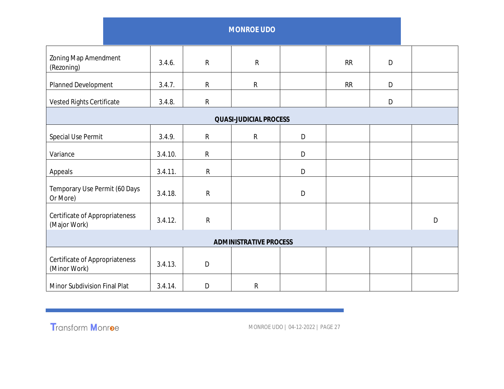|                                                |         |              | <b>MONROE UDO</b>             |   |    |             |   |
|------------------------------------------------|---------|--------------|-------------------------------|---|----|-------------|---|
| Zoning Map Amendment<br>(Rezoning)             | 3.4.6.  | ${\sf R}$    | ${\sf R}$                     |   | RR | $\mathsf D$ |   |
| Planned Development                            | 3.4.7.  | R            | ${\sf R}$                     |   | RR | $\mathsf D$ |   |
| Vested Rights Certificate                      | 3.4.8.  | $\mathsf R$  |                               |   |    | D           |   |
|                                                |         |              | <b>QUASI-JUDICIAL PROCESS</b> |   |    |             |   |
| Special Use Permit                             | 3.4.9.  | R            | $\mathsf{R}$                  | D |    |             |   |
| Variance                                       | 3.4.10. | ${\sf R}$    |                               | D |    |             |   |
| Appeals                                        | 3.4.11. | ${\sf R}$    |                               | D |    |             |   |
| Temporary Use Permit (60 Days<br>Or More)      | 3.4.18. | ${\sf R}$    |                               | D |    |             |   |
| Certificate of Appropriateness<br>(Major Work) | 3.4.12. | $\mathsf{R}$ |                               |   |    |             | D |
|                                                |         |              | <b>ADMINISTRATIVE PROCESS</b> |   |    |             |   |
| Certificate of Appropriateness<br>(Minor Work) | 3.4.13. | D            |                               |   |    |             |   |
| Minor Subdivision Final Plat                   | 3.4.14. | D            | ${\sf R}$                     |   |    |             |   |

Transform Monroe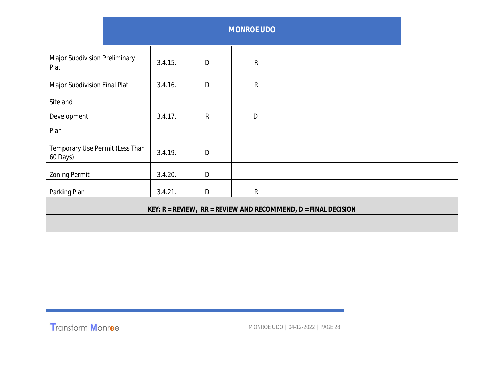| <b>Major Subdivision Preliminary</b><br>Plat                           | 3.4.15. | D            | $\mathsf{R}$ |  |  |  |  |
|------------------------------------------------------------------------|---------|--------------|--------------|--|--|--|--|
| Major Subdivision Final Plat                                           | 3.4.16. | D            | $\mathsf{R}$ |  |  |  |  |
| Site and<br>Development<br>Plan                                        | 3.4.17. | $\mathsf{R}$ | D            |  |  |  |  |
| Temporary Use Permit (Less Than                                        | 3.4.19. | $\mathsf{D}$ |              |  |  |  |  |
| 60 Days)                                                               |         |              |              |  |  |  |  |
| <b>Zoning Permit</b>                                                   | 3.4.20. | D            |              |  |  |  |  |
| Parking Plan                                                           | 3.4.21. | D            | ${\sf R}$    |  |  |  |  |
| KEY: $R = REVIEW$ , $RR = REVIEW AND RECOMMEND$ , $D = FINAL DECISION$ |         |              |              |  |  |  |  |
|                                                                        |         |              |              |  |  |  |  |

Transform Monroe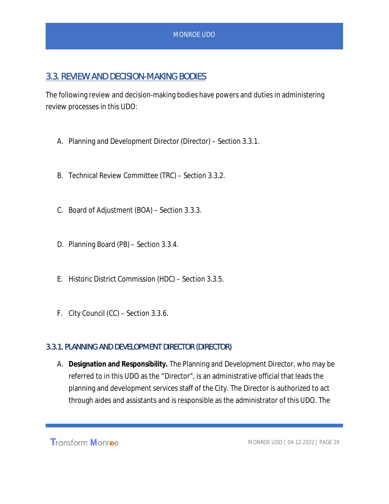## 3.3. REVIEW AND DECISION-MAKING BODIES

The following review and decision-making bodies have powers and duties in administering review processes in this UDO:

- A. Planning and Development Director (Director) Section 3.3.1.
- B. Technical Review Committee (TRC) Section 3.3.2.
- C. Board of Adjustment (BOA) Section 3.3.3.
- D. Planning Board (PB) Section 3.3.4.
- E. Historic District Commission (HDC) Section 3.3.5.
- F. City Council (CC) Section 3.3.6.

#### 3.3.1. PLANNING AND DEVELOPMENT DIRECTOR (DIRECTOR)

A. **Designation and Responsibility.** The Planning and Development Director, who may be referred to in this UDO as the "*Director*", is an administrative official that leads the planning and development services staff of the City. The Director is authorized to act through aides and assistants and is responsible as the administrator of this UDO. The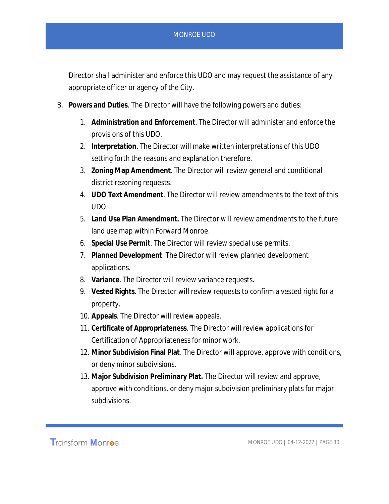Director shall administer and enforce this UDO and may request the assistance of any appropriate officer or agency of the City.

- B. **Powers and Duties**. The Director will have the following powers and duties:
	- 1. **Administration and Enforcement**. The Director will administer and enforce the provisions of this UDO.
	- 2. **Interpretation**. The Director will make written interpretations of this UDO setting forth the reasons and explanation therefore.
	- 3. **Zoning Map Amendment**. The Director will review general and conditional district rezoning requests.
	- 4. **UDO Text Amendment**. The Director will review amendments to the text of this UDO.
	- 5. **Land Use Plan Amendment.** The Director will review amendments to the future land use map within Forward Monroe.
	- 6. **Special Use Permit**. The Director will review special use permits.
	- 7. **Planned Development**. The Director will review planned development applications.
	- 8. **Variance**. The Director will review variance requests.
	- 9. **Vested Rights**. The Director will review requests to confirm a vested right for a property.
	- 10. **Appeals**. The Director will review appeals.
	- 11. **Certificate of Appropriateness**. The Director will review applications for Certification of Appropriateness for minor work.
	- 12. **Minor Subdivision Final Plat**. The Director will approve, approve with conditions, or deny minor subdivisions.
	- 13. **Major Subdivision Preliminary Plat.** The Director will review and approve, approve with conditions, or deny major subdivision preliminary plats for major subdivisions.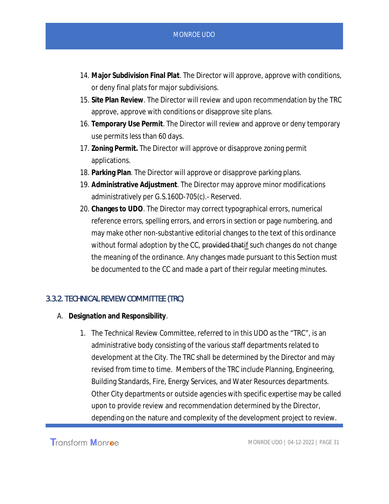- 14. **Major Subdivision Final Plat**. The Director will approve, approve with conditions, or deny final plats for major subdivisions.
- 15. **Site Plan Review**. The Director will review and upon recommendation by the TRC approve, approve with conditions or disapprove site plans.
- 16. **Temporary Use Permit**. The Director will review and approve or deny temporary use permits less than 60 days.
- 17. **Zoning Permit.** The Director will approve or disapprove zoning permit applications.
- 18. **Parking Plan**. The Director will approve or disapprove parking plans.
- 19. **Administrative Adjustment**. The Director may approve minor modifications administratively per G.S.160D-705(c).- Reserved.
- 20. **Changes to UDO**. The Director may correct typographical errors, numerical reference errors, spelling errors, and errors in section or page numbering, and may make other non-substantive editorial changes to the text of this ordinance without formal adoption by the CC, provided that if such changes do not change the meaning of the ordinance. Any changes made pursuant to this Section must be documented to the CC and made a part of their regular meeting minutes.

#### 3.3.2. TECHNICAL REVIEW COMMITTEE (TRC)

- A. **Designation and Responsibility**.
	- 1. The Technical Review Committee, referred to in this UDO as the "TRC", is an administrative body consisting of the various staff departments related to development at the City. The TRC shall be determined by the Director and may revised from time to time. Members of the TRC include Planning, Engineering, Building Standards, Fire, Energy Services, and Water Resources departments. Other City departments or outside agencies with specific expertise may be called upon to provide review and recommendation determined by the Director, depending on the nature and complexity of the development project to review.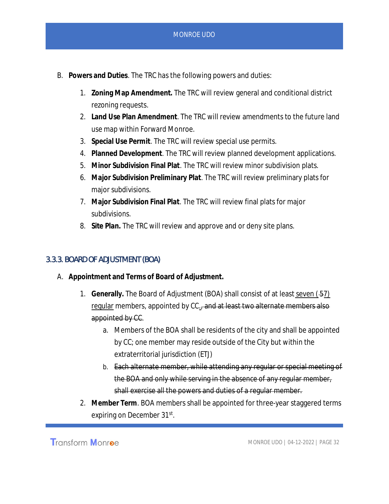- B. **Powers and Duties**. The TRC has the following powers and duties:
	- 1. **Zoning Map Amendment.** The TRC will review general and conditional district rezoning requests.
	- 2. **Land Use Plan Amendment**. The TRC will review amendments to the future land use map within Forward Monroe.
	- 3. **Special Use Permit**. The TRC will review special use permits.
	- 4. **Planned Development**. The TRC will review planned development applications.
	- 5. **Minor Subdivision Final Plat**. The TRC will review minor subdivision plats.
	- 6. **Major Subdivision Preliminary Plat**. The TRC will review preliminary plats for major subdivisions.
	- 7. **Major Subdivision Final Plat**. The TRC will review final plats for major subdivisions.
	- 8. **Site Plan.** The TRC will review and approve and or deny site plans.

#### 3.3.3. BOARD OF ADJUSTMENT (BOA)

- A. **Appointment and Terms of Board of Adjustment.**
	- 1. Generally. The Board of Adjustment (BOA) shall consist of at least seven (<del>5</del>7) regular members, appointed by CC<sub>1</sub>, and at least two alternate members also appointed by CC.
		- a. Members of the BOA shall be residents of the city and shall be appointed by CC; one member may reside outside of the City but within the extraterritorial jurisdiction (ETJ)
		- b. Each alternate member, while attending any regular or special meeting of the BOA and only while serving in the absence of any regular member, shall exercise all the powers and duties of a regular member.
	- 2. **Member Term**. BOA members shall be appointed for three-year staggered terms expiring on December 31st.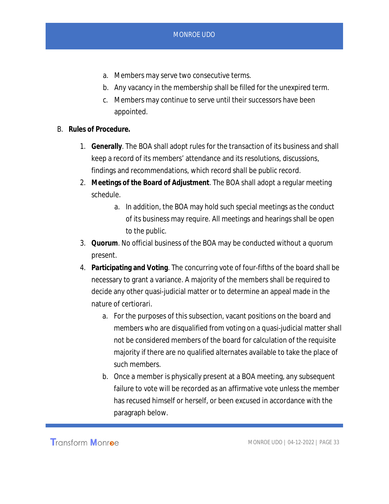- a. Members may serve two consecutive terms.
- b. Any vacancy in the membership shall be filled for the unexpired term.
- c. Members may continue to serve until their successors have been appointed.
- B. **Rules of Procedure.**
	- 1. **Generally**. The BOA shall adopt rules for the transaction of its business and shall keep a record of its members' attendance and its resolutions, discussions, findings and recommendations, which record shall be public record.
	- 2. **Meetings of the Board of Adjustment**. The BOA shall adopt a regular meeting schedule.
		- a. In addition, the BOA may hold such special meetings as the conduct of its business may require. All meetings and hearings shall be open to the public.
	- 3. **Quorum**. No official business of the BOA may be conducted without a quorum present.
	- 4. **Participating and Voting**. The concurring vote of four-fifths of the board shall be necessary to grant a variance. A majority of the members shall be required to decide any other quasi-judicial matter or to determine an appeal made in the nature of certiorari.
		- a. For the purposes of this subsection, vacant positions on the board and members who are disqualified from voting on a quasi-judicial matter shall not be considered members of the board for calculation of the requisite majority if there are no qualified alternates available to take the place of such members.
		- b. Once a member is physically present at a BOA meeting, any subsequent failure to vote will be recorded as an affirmative vote unless the member has recused himself or herself, or been excused in accordance with the paragraph below.

**Transform Monroe**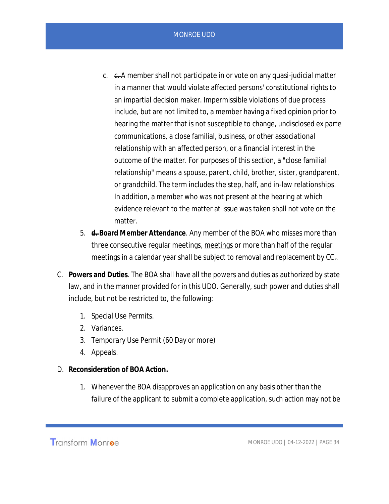- c.  $\epsilon$ . A member shall not participate in or vote on any quasi-judicial matter in a manner that would violate affected persons' constitutional rights to an impartial decision maker. Impermissible violations of due process include, but are not limited to, a member having a fixed opinion prior to hearing the matter that is not susceptible to change, undisclosed ex parte communications, a close familial, business, or other associational relationship with an affected person, or a financial interest in the outcome of the matter. For purposes of this section, a "close familial relationship" means a spouse, parent, child, brother, sister, grandparent, or grandchild. The term includes the step, half, and in-law relationships. In addition, a member who was not present at the hearing at which evidence relevant to the matter at issue was taken shall not vote on the matter.
- 5. **d. Board Member Attendance**. Any member of the BOA who misses more than three consecutive regular <del>meetings, meetings</del> or more than half of the regular meetings in a calendar year shall be subject to removal and replacement by CC..
- C. **Powers and Duties**. The BOA shall have all the powers and duties as authorized by state law, and in the manner provided for in this UDO. Generally, such power and duties shall include, but not be restricted to, the following:
	- 1. Special Use Permits.
	- 2. Variances.
	- 3. Temporary Use Permit (60 Day or more)
	- 4. Appeals.
- D. **Reconsideration of BOA Action.**
	- 1. Whenever the BOA disapproves an application on any basis other than the failure of the applicant to submit a complete application, such action may not be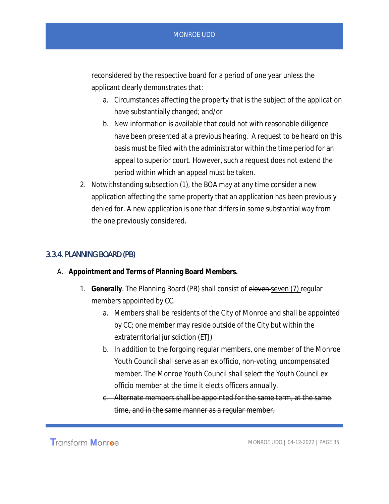reconsidered by the respective board for a period of one year unless the applicant clearly demonstrates that:

- a. Circumstances affecting the property that is the subject of the application have substantially changed; and/or
- b. New information is available that could not with reasonable diligence have been presented at a previous hearing. A request to be heard on this basis must be filed with the administrator within the time period for an appeal to superior court. However, such a request does not extend the period within which an appeal must be taken.
- 2. Notwithstanding subsection (1), the BOA may at any time consider a new application affecting the same property that an application has been previously denied for. A new application is one that differs in some substantial way from the one previously considered.

#### 3.3.4. PLANNING BOARD (PB)

- A. **Appointment and Terms of Planning Board Members.**
	- 1. **Generally**. The Planning Board (PB) shall consist of eleven seven (7) regular members appointed by CC.
		- a. Members shall be residents of the City of Monroe and shall be appointed by CC; one member may reside outside of the City but within the extraterritorial jurisdiction (ETJ)
		- b. In addition to the forgoing regular members, one member of the Monroe Youth Council shall serve as an ex officio, non-voting, uncompensated member. The Monroe Youth Council shall select the Youth Council ex officio member at the time it elects officers annually.
		- c. Alternate members shall be appointed for the same term, at the same time, and in the same manner as a regular member.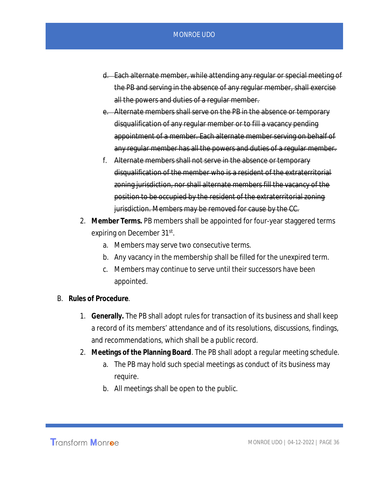- d. Each alternate member, while attending any regular or special meeting of the PB and serving in the absence of any regular member, shall exercise all the powers and duties of a regular member.
- e. Alternate members shall serve on the PB in the absence or temporary disqualification of any regular member or to fill a vacancy pending appointment of a member. Each alternate member serving on behalf of any regular member has all the powers and duties of a regular member.
- f. Alternate members shall not serve in the absence or temporary disqualification of the member who is a resident of the extraterritorial zoning jurisdiction, nor shall alternate members fill the vacancy of the position to be occupied by the resident of the extraterritorial zoning jurisdiction. Members may be removed for cause by the CC.
- 2. **Member Terms.** PB members shall be appointed for four-year staggered terms expiring on December 31st.
	- a. Members may serve two consecutive terms.
	- b. Any vacancy in the membership shall be filled for the unexpired term.
	- c. Members may continue to serve until their successors have been appointed.
- B. **Rules of Procedure**.
	- 1. **Generally.** The PB shall adopt rules for transaction of its business and shall keep a record of its members' attendance and of its resolutions, discussions, findings, and recommendations, which shall be a public record.
	- 2. **Meetings of the Planning Board**. The PB shall adopt a regular meeting schedule.
		- a. The PB may hold such special meetings as conduct of its business may require.
		- b. All meetings shall be open to the public.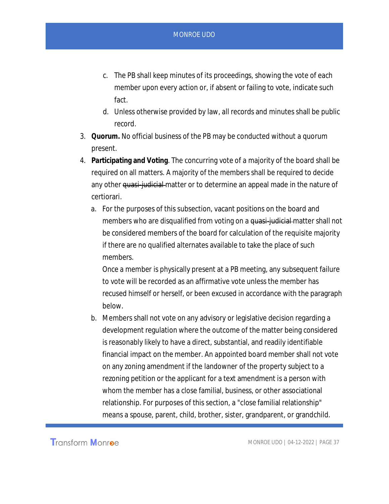- c. The PB shall keep minutes of its proceedings, showing the vote of each member upon every action or, if absent or failing to vote, indicate such fact.
- d. Unless otherwise provided by law, all records and minutes shall be public record.
- 3. **Quorum.** No official business of the PB may be conducted without a quorum present.
- 4. **Participating and Voting**. The concurring vote of a majority of the board shall be required on all matters. A majority of the members shall be required to decide any other quasi-judicial matter or to determine an appeal made in the nature of certiorari.
	- a. For the purposes of this subsection, vacant positions on the board and members who are disqualified from voting on a quasi-judicial matter shall not be considered members of the board for calculation of the requisite majority if there are no qualified alternates available to take the place of such members.

Once a member is physically present at a PB meeting, any subsequent failure to vote will be recorded as an affirmative vote unless the member has recused himself or herself, or been excused in accordance with the paragraph below.

b. Members shall not vote on any advisory or legislative decision regarding a development regulation where the outcome of the matter being considered is reasonably likely to have a direct, substantial, and readily identifiable financial impact on the member. An appointed board member shall not vote on any zoning amendment if the landowner of the property subject to a rezoning petition or the applicant for a text amendment is a person with whom the member has a close familial, business, or other associational relationship. For purposes of this section, a "close familial relationship" means a spouse, parent, child, brother, sister, grandparent, or grandchild.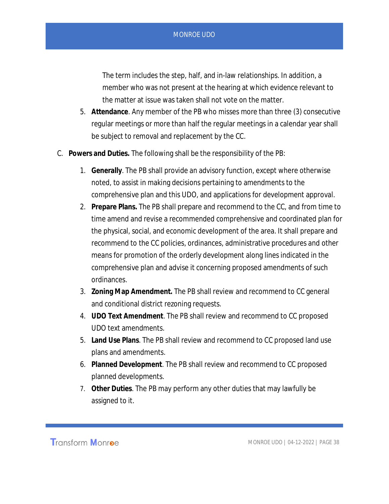The term includes the step, half, and in-law relationships. In addition, a member who was not present at the hearing at which evidence relevant to the matter at issue was taken shall not vote on the matter.

- 5. **Attendance**. Any member of the PB who misses more than three (3) consecutive regular meetings or more than half the regular meetings in a calendar year shall be subject to removal and replacement by the CC.
- C. **Powers and Duties.** The following shall be the responsibility of the PB:
	- 1. **Generally**. The PB shall provide an advisory function, except where otherwise noted, to assist in making decisions pertaining to amendments to the comprehensive plan and this UDO, and applications for development approval.
	- 2. **Prepare Plans.** The PB shall prepare and recommend to the CC, and from time to time amend and revise a recommended comprehensive and coordinated plan for the physical, social, and economic development of the area. It shall prepare and recommend to the CC policies, ordinances, administrative procedures and other means for promotion of the orderly development along lines indicated in the comprehensive plan and advise it concerning proposed amendments of such ordinances.
	- 3. **Zoning Map Amendment.** The PB shall review and recommend to CC general and conditional district rezoning requests.
	- 4. **UDO Text Amendment**. The PB shall review and recommend to CC proposed UDO text amendments.
	- 5. **Land Use Plans**. The PB shall review and recommend to CC proposed land use plans and amendments.
	- 6. **Planned Development**. The PB shall review and recommend to CC proposed planned developments.
	- 7. **Other Duties**. The PB may perform any other duties that may lawfully be assigned to it.

Transform Monroe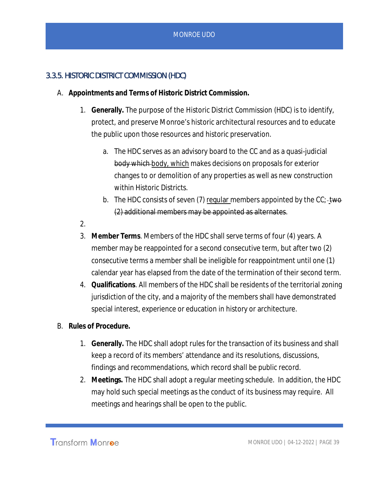## 3.3.5. HISTORIC DISTRICT COMMISSION (HDC)

- A. **Appointments and Terms of Historic District Commission.**
	- 1. **Generally.** The purpose of the *Historic District Commission* (HDC) is to identify, protect, and preserve Monroe's historic architectural resources and to educate the public upon those resources and historic preservation.
		- a. The HDC serves as an advisory board to the CC and as a quasi-judicial body which body, which makes decisions on proposals for exterior changes to or demolition of any properties as well as new construction within Historic Districts.
		- b. The HDC consists of seven (7) regular members appointed by the  $CC$ ; two (2) additional members may be appointed as alternates.
	- 2.
	- 3. **Member Terms**. Members of the HDC shall serve terms of four (4) years. A member may be reappointed for a second consecutive term, but after two (2) consecutive terms a member shall be ineligible for reappointment until one (1) calendar year has elapsed from the date of the termination of their second term.
	- 4. **Qualifications**. All members of the HDC shall be residents of the territorial zoning jurisdiction of the city, and a majority of the members shall have demonstrated special interest, experience or education in history or architecture.
- B. **Rules of Procedure.**
	- 1. **Generally.** The HDC shall adopt rules for the transaction of its business and shall keep a record of its members' attendance and its resolutions, discussions, findings and recommendations, which record shall be public record.
	- 2. **Meetings.** The HDC shall adopt a regular meeting schedule. In addition, the HDC may hold such special meetings as the conduct of its business may require. All meetings and hearings shall be open to the public.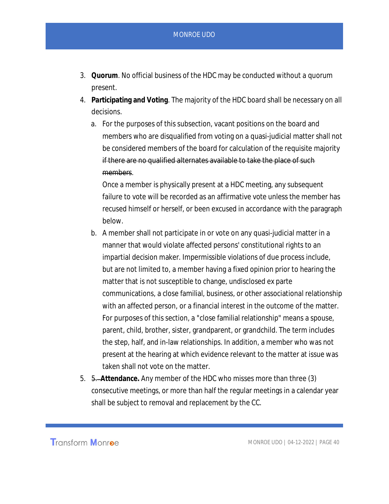- 3. **Quorum**. No official business of the HDC may be conducted without a quorum present.
- 4. **Participating and Voting**. The majority of the HDC board shall be necessary on all decisions.
	- a. For the purposes of this subsection, vacant positions on the board and members who are disqualified from voting on a quasi-judicial matter shall not be considered members of the board for calculation of the requisite majority if there are no qualified alternates available to take the place of such members.

Once a member is physically present at a HDC meeting, any subsequent failure to vote will be recorded as an affirmative vote unless the member has recused himself or herself, or been excused in accordance with the paragraph below.

- b. A member shall not participate in or vote on any quasi-judicial matter in a manner that would violate affected persons' constitutional rights to an impartial decision maker. Impermissible violations of due process include, but are not limited to, a member having a fixed opinion prior to hearing the matter that is not susceptible to change, undisclosed ex parte communications, a close familial, business, or other associational relationship with an affected person, or a financial interest in the outcome of the matter. For purposes of this section, a "close familial relationship" means a spouse, parent, child, brother, sister, grandparent, or grandchild. The term includes the step, half, and in-law relationships. In addition, a member who was not present at the hearing at which evidence relevant to the matter at issue was taken shall not vote on the matter.
- 5. 5. **Attendance.** Any member of the HDC who misses more than three (3) consecutive meetings, or more than half the regular meetings in a calendar year shall be subject to removal and replacement by the CC.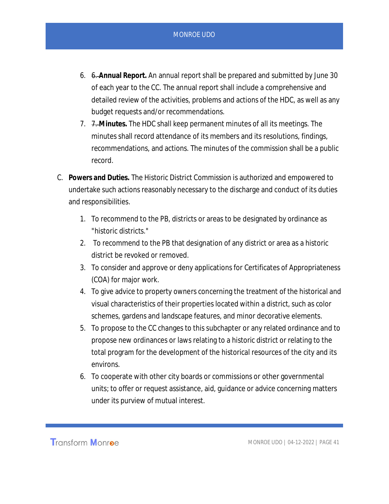- 6. 6. **Annual Report.** An annual report shall be prepared and submitted by June 30 of each year to the CC. The annual report shall include a comprehensive and detailed review of the activities, problems and actions of the HDC, as well as any budget requests and/or recommendations.
- 7. 7. **Minutes.** The HDC shall keep permanent minutes of all its meetings. The minutes shall record attendance of its members and its resolutions, findings, recommendations, and actions. The minutes of the commission shall be a public record.
- C. **Powers and Duties.** The Historic District Commission is authorized and empowered to undertake such actions reasonably necessary to the discharge and conduct of its duties and responsibilities.
	- 1. To recommend to the PB, districts or areas to be designated by ordinance as "historic districts."
	- 2. To recommend to the PB that designation of any district or area as a historic district be revoked or removed.
	- 3. To consider and approve or deny applications for Certificates of Appropriateness (COA) for major work.
	- 4. To give advice to property owners concerning the treatment of the historical and visual characteristics of their properties located within a district, such as color schemes, gardens and landscape features, and minor decorative elements.
	- 5. To propose to the CC changes to this subchapter or any related ordinance and to propose new ordinances or laws relating to a historic district or relating to the total program for the development of the historical resources of the city and its environs.
	- 6. To cooperate with other city boards or commissions or other governmental units; to offer or request assistance, aid, guidance or advice concerning matters under its purview of mutual interest.

Transform Monroe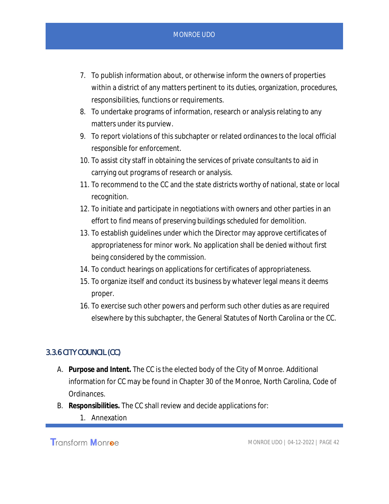- 7. To publish information about, or otherwise inform the owners of properties within a district of any matters pertinent to its duties, organization, procedures, responsibilities, functions or requirements.
- 8. To undertake programs of information, research or analysis relating to any matters under its purview.
- 9. To report violations of this subchapter or related ordinances to the local official responsible for enforcement.
- 10. To assist city staff in obtaining the services of private consultants to aid in carrying out programs of research or analysis.
- 11. To recommend to the CC and the state districts worthy of national, state or local recognition.
- 12. To initiate and participate in negotiations with owners and other parties in an effort to find means of preserving buildings scheduled for demolition.
- 13. To establish guidelines under which the Director may approve certificates of appropriateness for minor work. No application shall be denied without first being considered by the commission.
- 14. To conduct hearings on applications for certificates of appropriateness.
- 15. To organize itself and conduct its business by whatever legal means it deems proper.
- 16. To exercise such other powers and perform such other duties as are required elsewhere by this subchapter, the General Statutes of North Carolina or the CC.

## 3.3.6 CITY COUNCIL (CC)

- A. **Purpose and Intent.** The CC is the elected body of the City of Monroe. Additional information for CC may be found in Chapter 30 of the Monroe, North Carolina, Code of Ordinances.
- B. **Responsibilities.** The CC shall review and decide applications for:
	- 1. Annexation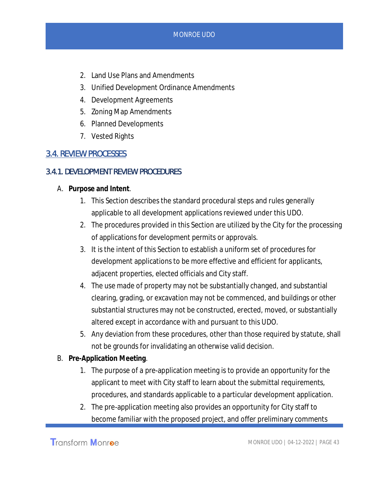- 2. Land Use Plans and Amendments
- 3. Unified Development Ordinance Amendments
- 4. Development Agreements
- 5. Zoning Map Amendments
- 6. Planned Developments
- 7. Vested Rights

## 3.4. REVIEW PROCESSES

#### 3.4.1. DEVELOPMENT REVIEW PROCEDURES

- A. **Purpose and Intent**.
	- 1. This Section describes the standard procedural steps and rules generally applicable to all development applications reviewed under this UDO.
	- 2. The procedures provided in this Section are utilized by the City for the processing of applications for development permits or approvals.
	- 3. It is the intent of this Section to establish a uniform set of procedures for development applications to be more effective and efficient for applicants, adjacent properties, elected officials and City staff.
	- 4. The use made of property may not be substantially changed, and substantial clearing, grading, or excavation may not be commenced, and buildings or other substantial structures may not be constructed, erected, moved, or substantially altered except in accordance with and pursuant to this UDO.
	- 5. Any deviation from these procedures, other than those required by statute, shall not be grounds for invalidating an otherwise valid decision.
- B. **Pre-Application Meeting**.
	- 1. The purpose of a pre-application meeting is to provide an opportunity for the applicant to meet with City staff to learn about the submittal requirements, procedures, and standards applicable to a particular development application.
	- 2. The pre-application meeting also provides an opportunity for City staff to become familiar with the proposed project, and offer preliminary comments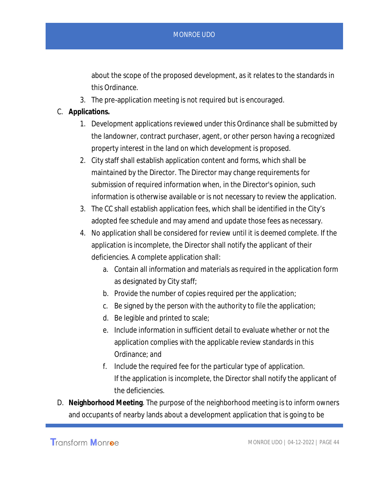about the scope of the proposed development, as it relates to the standards in this Ordinance.

- 3. The pre-application meeting is not required but is encouraged.
- C. **Applications.**
	- 1. Development applications reviewed under this Ordinance shall be submitted by the landowner, contract purchaser, agent, or other person having a recognized property interest in the land on which development is proposed.
	- 2. City staff shall establish application content and forms, which shall be maintained by the Director. The Director may change requirements for submission of required information when, in the Director's opinion, such information is otherwise available or is not necessary to review the application.
	- 3. The CC shall establish application fees, which shall be identified in the City's adopted fee schedule and may amend and update those fees as necessary.
	- 4. No application shall be considered for review until it is deemed complete. If the application is incomplete, the Director shall notify the applicant of their deficiencies. A complete application shall:
		- a. Contain all information and materials as required in the application form as designated by City staff;
		- b. Provide the number of copies required per the application;
		- c. Be signed by the person with the authority to file the application;
		- d. Be legible and printed to scale;
		- e. Include information in sufficient detail to evaluate whether or not the application complies with the applicable review standards in this Ordinance; and
		- f. Include the required fee for the particular type of application. If the application is incomplete, the Director shall notify the applicant of the deficiencies.
- D. **Neighborhood Meeting**. The purpose of the neighborhood meeting is to inform owners and occupants of nearby lands about a development application that is going to be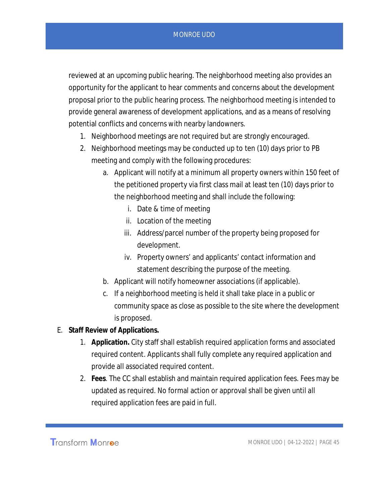reviewed at an upcoming public hearing. The neighborhood meeting also provides an opportunity for the applicant to hear comments and concerns about the development proposal prior to the public hearing process. The neighborhood meeting is intended to provide general awareness of development applications, and as a means of resolving potential conflicts and concerns with nearby landowners.

- 1. Neighborhood meetings are not required but are strongly encouraged.
- 2. Neighborhood meetings may be conducted up to ten (10) days prior to PB meeting and comply with the following procedures:
	- a. Applicant will notify at a minimum all property owners within 150 feet of the petitioned property via first class mail at least ten (10) days prior to the neighborhood meeting and shall include the following:
		- i. Date & time of meeting
		- ii. Location of the meeting
		- iii. Address/parcel number of the property being proposed for development.
		- iv. Property owners' and applicants' contact information and statement describing the purpose of the meeting.
	- b. Applicant will notify homeowner associations (if applicable).
	- c. If a neighborhood meeting is held it shall take place in a public or community space as close as possible to the site where the development is proposed.
- E. **Staff Review of Applications.**
	- 1. **Application.** City staff shall establish required application forms and associated required content. Applicants shall fully complete any required application and provide all associated required content.
	- 2. **Fees**. The CC shall establish and maintain required application fees. Fees may be updated as required. No formal action or approval shall be given until all required application fees are paid in full.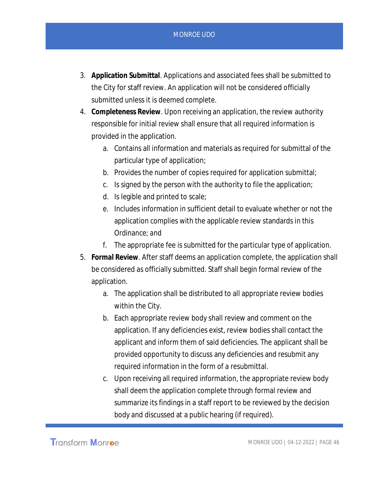- 3. **Application Submittal**. Applications and associated fees shall be submitted to the City for staff review. An application will not be considered officially submitted unless it is deemed complete.
- 4. **Completeness Review**. Upon receiving an application, the review authority responsible for initial review shall ensure that all required information is provided in the application.
	- a. Contains all information and materials as required for submittal of the particular type of application;
	- b. Provides the number of copies required for application submittal;
	- c. Is signed by the person with the authority to file the application;
	- d. Is legible and printed to scale;
	- e. Includes information in sufficient detail to evaluate whether or not the application complies with the applicable review standards in this Ordinance; and
	- f. The appropriate fee is submitted for the particular type of application.
- 5. **Formal Review**. After staff deems an application complete, the application shall be considered as officially submitted. Staff shall begin formal review of the application.
	- a. The application shall be distributed to all appropriate review bodies within the City.
	- b. Each appropriate review body shall review and comment on the application. If any deficiencies exist, review bodies shall contact the applicant and inform them of said deficiencies. The applicant shall be provided opportunity to discuss any deficiencies and resubmit any required information in the form of a resubmittal.
	- c. Upon receiving all required information, the appropriate review body shall deem the application complete through formal review and summarize its findings in a staff report to be reviewed by the decision body and discussed at a public hearing (if required).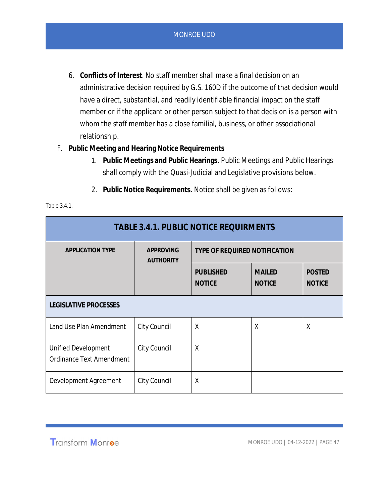- 6. **Conflicts of Interest**. No staff member shall make a final decision on an administrative decision required by G.S. 160D if the outcome of that decision would have a direct, substantial, and readily identifiable financial impact on the staff member or if the applicant or other person subject to that decision is a person with whom the staff member has a close familial, business, or other associational relationship.
- F. **Public Meeting and Hearing Notice Requirements**
	- 1. **Public Meetings and Public Hearings**. Public Meetings and Public Hearings shall comply with the Quasi-Judicial and Legislative provisions below.
	- 2. **Public Notice Requirements**. Notice shall be given as follows:

| <b>TABLE 3.4.1. PUBLIC NOTICE REQUIRMENTS</b>          |                                      |                                      |                                |                                |  |  |  |
|--------------------------------------------------------|--------------------------------------|--------------------------------------|--------------------------------|--------------------------------|--|--|--|
| <b>APPLICATION TYPE</b>                                | <b>APPROVING</b><br><b>AUTHORITY</b> | <b>TYPE OF REQUIRED NOTIFICATION</b> |                                |                                |  |  |  |
|                                                        |                                      | <b>PUBLISHED</b><br><b>NOTICE</b>    | <b>MAILED</b><br><b>NOTICE</b> | <b>POSTED</b><br><b>NOTICE</b> |  |  |  |
| LEGISLATIVE PROCESSES                                  |                                      |                                      |                                |                                |  |  |  |
| Land Use Plan Amendment                                | City Council                         | X                                    | X                              | $\chi$                         |  |  |  |
| <b>Unified Development</b><br>Ordinance Text Amendment | City Council                         | X                                    |                                |                                |  |  |  |
| Development Agreement                                  | City Council                         | X                                    |                                |                                |  |  |  |

#### Table 3.4.1.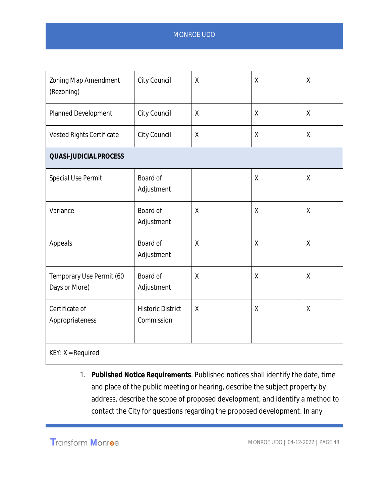| Zoning Map Amendment<br>(Rezoning)        | City Council                           | Χ                  | X       | χ                  |  |  |  |  |
|-------------------------------------------|----------------------------------------|--------------------|---------|--------------------|--|--|--|--|
| <b>Planned Development</b>                | City Council                           | χ                  | $\sf X$ | X                  |  |  |  |  |
| Vested Rights Certificate                 | City Council                           | $\pmb{\mathsf{X}}$ | χ       | χ                  |  |  |  |  |
| <b>QUASI-JUDICIAL PROCESS</b>             |                                        |                    |         |                    |  |  |  |  |
| Special Use Permit                        | Board of<br>Adjustment                 |                    | $\sf X$ | $\pmb{\mathsf{X}}$ |  |  |  |  |
| Variance                                  | Board of<br>Adjustment                 | χ                  | Χ       | X                  |  |  |  |  |
| Appeals                                   | Board of<br>Adjustment                 | $\pmb{\mathsf{X}}$ | χ       | X                  |  |  |  |  |
| Temporary Use Permit (60<br>Days or More) | Board of<br>Adjustment                 | χ                  | Χ       | χ                  |  |  |  |  |
| Certificate of<br>Appropriateness         | <b>Historic District</b><br>Commission | X                  | χ       | X                  |  |  |  |  |
| $KEY: X = Required$                       |                                        |                    |         |                    |  |  |  |  |

1. **Published Notice Requirements**. Published notices shall identify the date, time and place of the public meeting or hearing, describe the subject property by address, describe the scope of proposed development, and identify a method to contact the City for questions regarding the proposed development. In any

Transform Monroe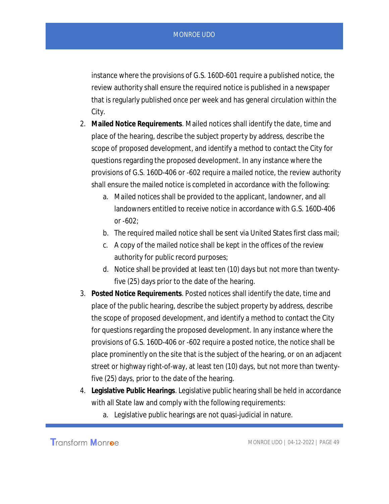instance where the provisions of G.S. 160D-601 require a published notice, the review authority shall ensure the required notice is published in a newspaper that is regularly published once per week and has general circulation within the City.

- 2. **Mailed Notice Requirements**. Mailed notices shall identify the date, time and place of the hearing, describe the subject property by address, describe the scope of proposed development, and identify a method to contact the City for questions regarding the proposed development. In any instance where the provisions of G.S. 160D-406 or -602 require a mailed notice, the review authority shall ensure the mailed notice is completed in accordance with the following:
	- a. Mailed notices shall be provided to the applicant, landowner, and all landowners entitled to receive notice in accordance with G.S. 160D-406 or -602;
	- b. The required mailed notice shall be sent via United States first class mail;
	- c. A copy of the mailed notice shall be kept in the offices of the review authority for public record purposes;
	- d. Notice shall be provided at least ten (10) days but not more than twentyfive (25) days prior to the date of the hearing.
- 3. **Posted Notice Requirements**. Posted notices shall identify the date, time and place of the public hearing, describe the subject property by address, describe the scope of proposed development, and identify a method to contact the City for questions regarding the proposed development. In any instance where the provisions of G.S. 160D-406 or -602 require a posted notice, the notice shall be place prominently on the site that is the subject of the hearing, or on an adjacent street or highway right-of-way, at least ten (10) days, but not more than twentyfive (25) days, prior to the date of the hearing.
- 4. **Legislative Public Hearings**. Legislative public hearing shall be held in accordance with all State law and comply with the following requirements:
	- a. Legislative public hearings are not quasi-judicial in nature.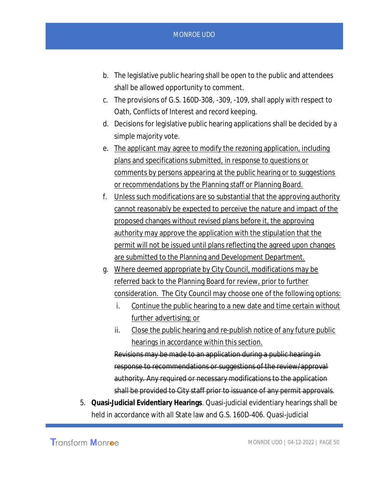- b. The legislative public hearing shall be open to the public and attendees shall be allowed opportunity to comment.
- c. The provisions of G.S. 160D-308, -309, -109, shall apply with respect to Oath, Conflicts of Interest and record keeping.
- d. Decisions for legislative public hearing applications shall be decided by a simple majority vote.
- e. The applicant may agree to modify the rezoning application, including plans and specifications submitted, in response to questions or comments by persons appearing at the public hearing or to suggestions or recommendations by the Planning staff or Planning Board.
- f. Unless such modifications are so substantial that the approving authority cannot reasonably be expected to perceive the nature and impact of the proposed changes without revised plans before it, the approving authority may approve the application with the stipulation that the permit will not be issued until plans reflecting the agreed upon changes are submitted to the Planning and Development Department.
- g. Where deemed appropriate by City Council, modifications may be referred back to the Planning Board for review, prior to further consideration. The City Council may choose one of the following options:
	- i. Continue the public hearing to a new date and time certain without further advertising; or
	- ii. Close the public hearing and re-publish notice of any future public hearings in accordance within this section.

Revisions may be made to an application during a public hearing in response to recommendations or suggestions of the review/approval authority. Any required or necessary modifications to the application shall be provided to City staff prior to issuance of any permit approvals.

5. **Quasi-Judicial Evidentiary Hearings**. Quasi-judicial evidentiary hearings shall be held in accordance with all State law and G.S. 160D-406. Quasi-judicial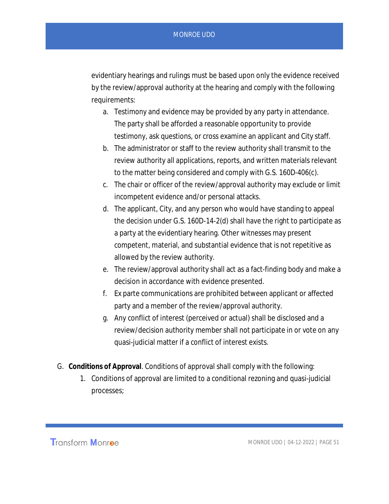evidentiary hearings and rulings must be based upon only the evidence received by the review/approval authority at the hearing and comply with the following requirements:

- a. Testimony and evidence may be provided by any party in attendance. The party shall be afforded a reasonable opportunity to provide testimony, ask questions, or cross examine an applicant and City staff.
- b. The administrator or staff to the review authority shall transmit to the review authority all applications, reports, and written materials relevant to the matter being considered and comply with G.S. 160D-406(c).
- c. The chair or officer of the review/approval authority may exclude or limit incompetent evidence and/or personal attacks.
- d. The applicant, City, and any person who would have standing to appeal the decision under G.S. 160D-14-2(d) shall have the right to participate as a party at the evidentiary hearing. Other witnesses may present competent, material, and substantial evidence that is not repetitive as allowed by the review authority.
- e. The review/approval authority shall act as a fact-finding body and make a decision in accordance with evidence presented.
- f. Ex parte communications are prohibited between applicant or affected party and a member of the review/approval authority.
- g. Any conflict of interest (perceived or actual) shall be disclosed and a review/decision authority member shall not participate in or vote on any quasi-judicial matter if a conflict of interest exists.
- G. **Conditions of Approval**. Conditions of approval shall comply with the following:
	- 1. Conditions of approval are limited to a conditional rezoning and quasi-judicial processes;

Transform Monroe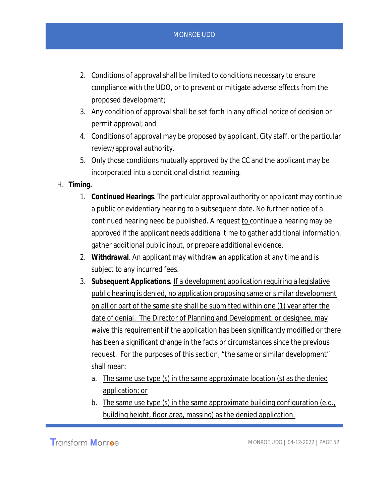- 2. Conditions of approval shall be limited to conditions necessary to ensure compliance with the UDO, or to prevent or mitigate adverse effects from the proposed development;
- 3. Any condition of approval shall be set forth in any official notice of decision or permit approval; and
- 4. Conditions of approval may be proposed by applicant, City staff, or the particular review/approval authority.
- 5. Only those conditions mutually approved by the CC and the applicant may be incorporated into a conditional district rezoning.
- H. **Timing.**
	- 1. **Continued Hearings**. The particular approval authority or applicant may continue a public or evidentiary hearing to a subsequent date. No further notice of a continued hearing need be published. A request to continue a hearing may be approved if the applicant needs additional time to gather additional information, gather additional public input, or prepare additional evidence.
	- 2. **Withdrawal**. An applicant may withdraw an application at any time and is subject to any incurred fees.
	- 3. **Subsequent Applications.** If a development application requiring a legislative public hearing is denied, no application proposing same or similar development on all or part of the same site shall be submitted within one (1) year after the date of denial. The Director of Planning and Development, or designee, may waive this requirement if the application has been significantly modified or there has been a significant change in the facts or circumstances since the previous request. For the purposes of this section, "the same or similar development" shall mean:
		- a. The same use type (s) in the same approximate location (s) as the denied application; or
		- b. The same use type (s) in the same approximate building configuration (e.g., building height, floor area, massing) as the denied application.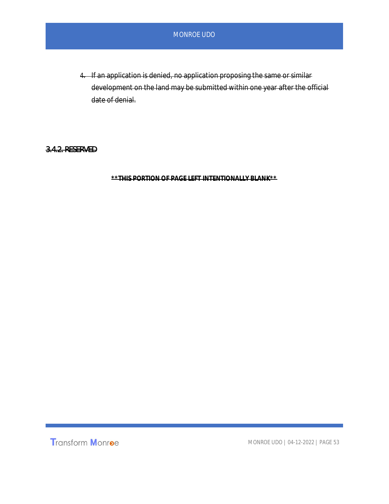4. If an application is denied, no application proposing the same or similar development on the land may be submitted within one year after the official date of denial.

#### 3.4.2. RESERVED

**\*\*THIS PORTION OF PAGE LEFT INTENTIONALLY BLANK\*\***

**Transform Monroe**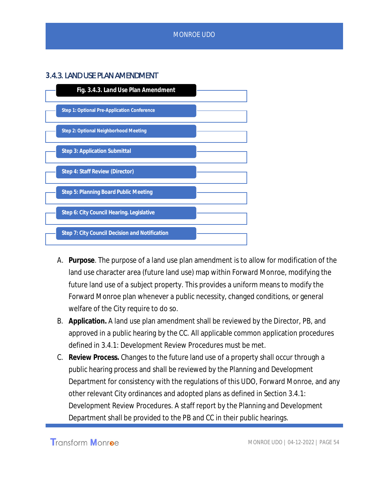### **3**.4.3. LAND USE PLAN AMENDMENT



- A. **Purpose**. The purpose of a land use plan amendment is to allow for modification of the land use character area (future land use) map within Forward Monroe, modifying the future land use of a subject property. This provides a uniform means to modify the Forward Monroe plan whenever a public necessity, changed conditions, or general welfare of the City require to do so.
- B. **Application.** A land use plan amendment shall be reviewed by the Director, PB, and approved in a public hearing by the CC. All applicable common application procedures defined in 3.4.1: Development Review Procedures must be met.
- C. **Review Process.** Changes to the future land use of a property shall occur through a public hearing process and shall be reviewed by the Planning and Development Department for consistency with the regulations of this UDO, Forward Monroe, and any other relevant City ordinances and adopted plans as defined in Section 3.4.1: Development Review Procedures. A staff report by the Planning and Development Department shall be provided to the PB and CC in their public hearings.

**Transform Monroe**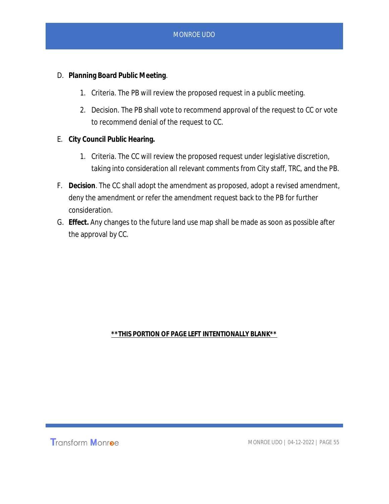- D. **Planning Board Public Meeting**.
	- 1. Criteria. The PB will review the proposed request in a public meeting.
	- 2. Decision. The PB shall vote to recommend approval of the request to CC or vote to recommend denial of the request to CC.
- E. **City Council Public Hearing.**
	- 1. Criteria. The CC will review the proposed request under legislative discretion, taking into consideration all relevant comments from City staff, TRC, and the PB.
- F. **Decision**. The CC shall adopt the amendment as proposed, adopt a revised amendment, deny the amendment or refer the amendment request back to the PB for further consideration.
- G. **Effect.** Any changes to the future land use map shall be made as soon as possible after the approval by CC.

#### **\*\*THIS PORTION OF PAGE LEFT INTENTIONALLY BLANK\*\***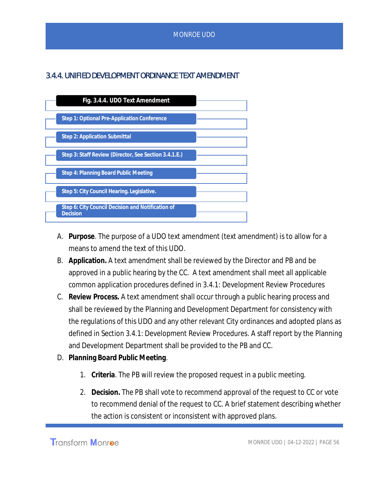## 3.4.4. UNIFIED DEVELOPMENT ORDINANCE TEXT AMENDMENT



- A. **Purpose**. The purpose of a UDO text amendment (text amendment) is to allow for a means to amend the text of this UDO.
- B. **Application.** A text amendment shall be reviewed by the Director and PB and be approved in a public hearing by the CC. A text amendment shall meet all applicable common application procedures defined in 3.4.1: Development Review Procedures
- C. **Review Process.** A text amendment shall occur through a public hearing process and shall be reviewed by the Planning and Development Department for consistency with the regulations of this UDO and any other relevant City ordinances and adopted plans as defined in Section 3.4.1: Development Review Procedures. A staff report by the Planning and Development Department shall be provided to the PB and CC.
- D. **Planning Board Public Meeting**.
	- 1. **Criteria**. The PB will review the proposed request in a public meeting.
	- 2. **Decision.** The PB shall vote to recommend approval of the request to CC or vote to recommend denial of the request to CC. A brief statement describing whether the action is consistent or inconsistent with approved plans.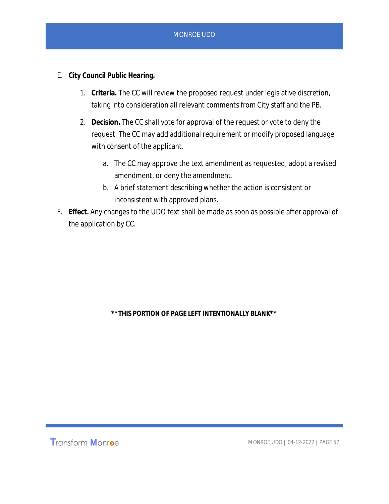- E. **City Council Public Hearing.**
	- 1. **Criteria.** The CC will review the proposed request under legislative discretion, taking into consideration all relevant comments from City staff and the PB.
	- 2. **Decision.** The CC shall vote for approval of the request or vote to deny the request. The CC may add additional requirement or modify proposed language with consent of the applicant.
		- a. The CC may approve the text amendment as requested, adopt a revised amendment, or deny the amendment.
		- b. A brief statement describing whether the action is consistent or inconsistent with approved plans.
- F. **Effect.** Any changes to the UDO text shall be made as soon as possible after approval of the application by CC.

**\*\*THIS PORTION OF PAGE LEFT INTENTIONALLY BLANK\*\***

**Transform Monroe**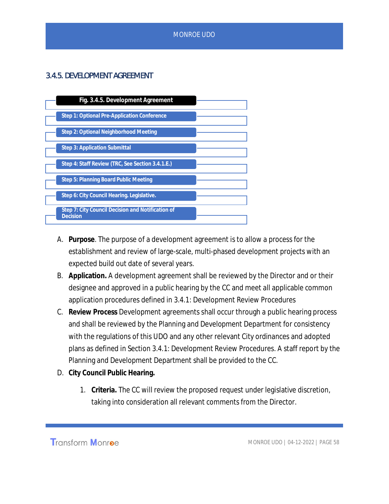## 3.4.5. DEVELOPMENT AGREEMENT



- A. **Purpose**. The purpose of a development agreement is to allow a process for the establishment and review of large-scale, multi-phased development projects with an expected build out date of several years.
- B. **Application.** A development agreement shall be reviewed by the Director and or their designee and approved in a public hearing by the CC and meet all applicable common application procedures defined in 3.4.1: Development Review Procedures
- C. **Review Process** Development agreements shall occur through a public hearing process and shall be reviewed by the Planning and Development Department for consistency with the regulations of this UDO and any other relevant City ordinances and adopted plans as defined in Section 3.4.1: Development Review Procedures. A staff report by the Planning and Development Department shall be provided to the CC.
- D. **City Council Public Hearing.**
	- 1. **Criteria.** The CC will review the proposed request under legislative discretion, taking into consideration all relevant comments from the Director.

Transform Monroe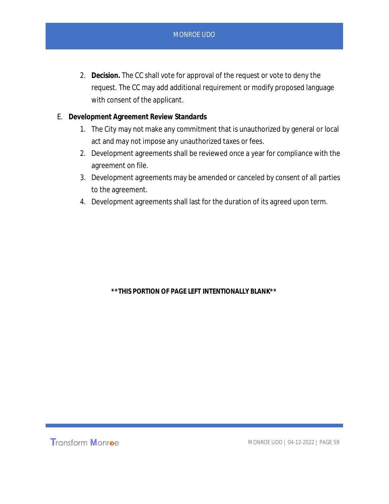- 2. **Decision.** The CC shall vote for approval of the request or vote to deny the request. The CC may add additional requirement or modify proposed language with consent of the applicant.
- E. **Development Agreement Review Standards**
	- 1. The City may not make any commitment that is unauthorized by general or local act and may not impose any unauthorized taxes or fees.
	- 2. Development agreements shall be reviewed once a year for compliance with the agreement on file.
	- 3. Development agreements may be amended or canceled by consent of all parties to the agreement.
	- 4. Development agreements shall last for the duration of its agreed upon term.

**\*\*THIS PORTION OF PAGE LEFT INTENTIONALLY BLANK\*\***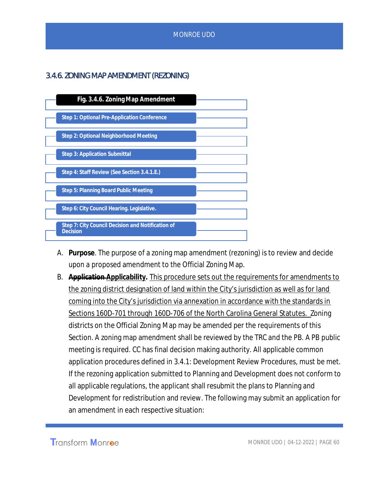## 3.4.6. ZONING MAP AMENDMENT (REZONING)



- A. **Purpose**. The purpose of a zoning map amendment (rezoning) is to review and decide upon a proposed amendment to the Official Zoning Map.
- B. **Application Applicability.** This procedure sets out the requirements for amendments to the zoning district designation of land within the City's jurisdiction as well as for land coming into the City's jurisdiction via annexation in accordance with the standards in Sections 160D-701 through 160D-706 of the North Carolina General Statutes. Zoning districts on the Official Zoning Map may be amended per the requirements of this Section. A zoning map amendment shall be reviewed by the TRC and the PB. A PB public meeting is required. CC has final decision making authority. All applicable common application procedures defined in 3.4.1: Development Review Procedures, must be met. If the rezoning application submitted to Planning and Development does not conform to all applicable regulations, the applicant shall resubmit the plans to Planning and Development for redistribution and review. The following may submit an application for an amendment in each respective situation:

**Transform Monroe**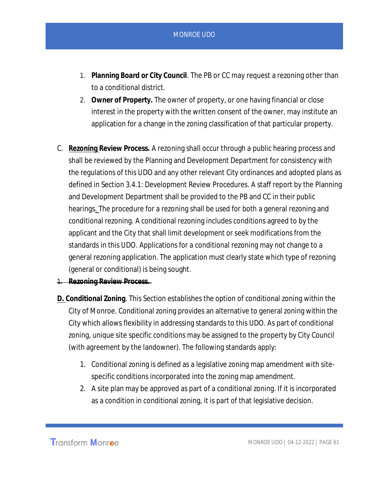- 1. **Planning Board or City Council**. The PB or CC may request a rezoning other than to a conditional district.
- 2. **Owner of Property.** The owner of property, or one having financial or close interest in the property with the written consent of the owner, may institute an application for a change in the zoning classification of that particular property.
- C. **Rezoning Review Process.** A rezoning shall occur through a public hearing process and shall be reviewed by the Planning and Development Department for consistency with the regulations of this UDO and any other relevant City ordinances and adopted plans as defined in Section 3.4.1: Development Review Procedures. A staff report by the Planning and Development Department shall be provided to the PB and CC in their public hearings. The procedure for a rezoning shall be used for both a general rezoning and conditional rezoning. A conditional rezoning includes conditions agreed to by the applicant and the City that shall limit development or seek modifications from the standards in this UDO. Applications for a conditional rezoning may not change to a general rezoning application. The application must clearly state which type of rezoning (general or conditional) is being sought.
- 1. **Rezoning Review Process.**.
- **D. Conditional Zoning**. This Section establishes the option of conditional zoning within the City of Monroe. Conditional zoning provides an alternative to general zoning within the City which allows flexibility in addressing standards to this UDO. As part of conditional zoning, unique site specific conditions may be assigned to the property by City Council (with agreement by the landowner). The following standards apply:
	- 1. Conditional zoning is defined as a legislative zoning map amendment with sitespecific conditions incorporated into the zoning map amendment.
	- 2. A site plan may be approved as part of a conditional zoning. If it is incorporated as a condition in conditional zoning, it is part of that legislative decision.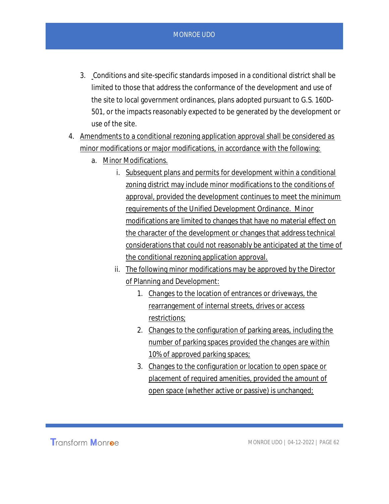- 3. Conditions and site-specific standards imposed in a conditional district shall be limited to those that address the conformance of the development and use of the site to local government ordinances, plans adopted pursuant to G.S. 160D-501, or the impacts reasonably expected to be generated by the development or use of the site.
- 4. Amendments to a conditional rezoning application approval shall be considered as minor modifications or major modifications, in accordance with the following:
	- a. Minor Modifications.
		- i. Subsequent plans and permits for development within a conditional zoning district may include minor modifications to the conditions of approval, provided the development continues to meet the minimum requirements of the Unified Development Ordinance. Minor modifications are limited to changes that have no material effect on the character of the development or changes that address technical considerations that could not reasonably be anticipated at the time of the conditional rezoning application approval.
		- ii. The following minor modifications may be approved by the Director of Planning and Development:
			- 1. Changes to the location of entrances or driveways, the rearrangement of internal streets, drives or access restrictions;
			- 2. Changes to the configuration of parking areas, including the number of parking spaces provided the changes are within 10% of approved parking spaces;
			- 3. Changes to the configuration or location to open space or placement of required amenities, provided the amount of open space (whether active or passive) is unchanged;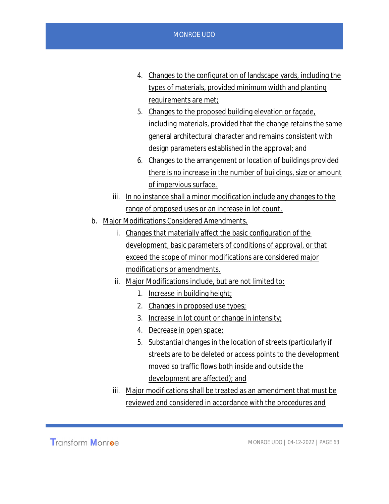- 4. Changes to the configuration of landscape yards, including the types of materials, provided minimum width and planting requirements are met;
- 5. Changes to the proposed building elevation or façade, including materials, provided that the change retains the same general architectural character and remains consistent with design parameters established in the approval; and
- 6. Changes to the arrangement or location of buildings provided there is no increase in the number of buildings, size or amount of impervious surface.
- iii. In no instance shall a minor modification include any changes to the range of proposed uses or an increase in lot count.
- b. Major Modifications Considered Amendments.
	- i. Changes that materially affect the basic configuration of the development, basic parameters of conditions of approval, or that exceed the scope of minor modifications are considered major modifications or amendments.
	- ii. Major Modifications include, but are not limited to:
		- 1. Increase in building height;
		- 2. Changes in proposed use types;
		- 3. Increase in lot count or change in intensity;
		- 4. Decrease in open space;
		- 5. Substantial changes in the location of streets (particularly if streets are to be deleted or access points to the development moved so traffic flows both inside and outside the development are affected); and
	- iii. Major modifications shall be treated as an amendment that must be reviewed and considered in accordance with the procedures and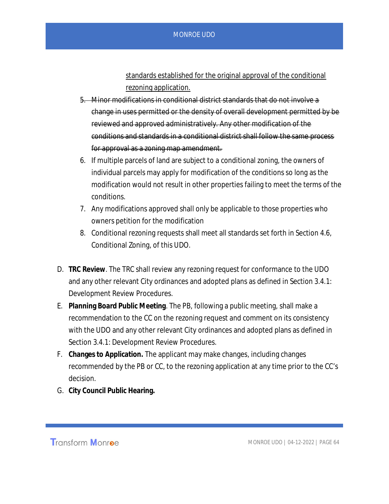standards established for the original approval of the conditional rezoning application.

- 5. Minor modifications in conditional district standards that do not involve a change in uses permitted or the density of overall development permitted by be reviewed and approved administratively. Any other modification of the conditions and standards in a conditional district shall follow the same process for approval as a zoning map amendment.
- 6. If multiple parcels of land are subject to a conditional zoning, the owners of individual parcels may apply for modification of the conditions so long as the modification would not result in other properties failing to meet the terms of the conditions.
- 7. Any modifications approved shall only be applicable to those properties who owners petition for the modification
- 8. Conditional rezoning requests shall meet all standards set forth in Section 4.6, Conditional Zoning, of this UDO.
- D. **TRC Review**. The TRC shall review any rezoning request for conformance to the UDO and any other relevant City ordinances and adopted plans as defined in Section 3.4.1: Development Review Procedures.
- E. **Planning Board Public Meeting**. The PB, following a public meeting, shall make a recommendation to the CC on the rezoning request and comment on its consistency with the UDO and any other relevant City ordinances and adopted plans as defined in Section 3.4.1: Development Review Procedures.
- F. **Changes to Application.** The applicant may make changes, including changes recommended by the PB or CC, to the rezoning application at any time prior to the CC's decision.
- G. **City Council Public Hearing.**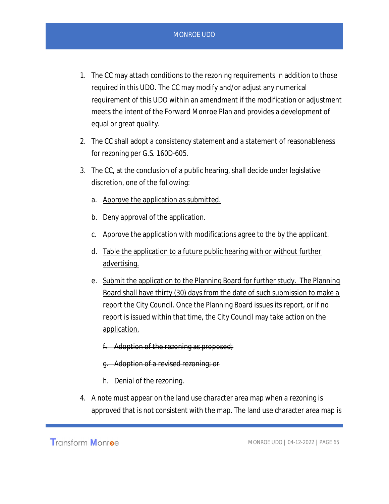- 1. The CC may attach conditions to the rezoning requirements in addition to those required in this UDO. The CC may modify and/or adjust any numerical requirement of this UDO within an amendment if the modification or adjustment meets the intent of the Forward Monroe Plan and provides a development of equal or great quality.
- 2. The CC shall adopt a consistency statement and a statement of reasonableness for rezoning per G.S. 160D-605.
- 3. The CC, at the conclusion of a public hearing, shall decide under legislative discretion, one of the following:
	- a. Approve the application as submitted.
	- b. Deny approval of the application.
	- c. Approve the application with modifications agree to the by the applicant.
	- d. Table the application to a future public hearing with or without further advertising.
	- e. Submit the application to the Planning Board for further study. The Planning Board shall have thirty (30) days from the date of such submission to make a report the City Council. Once the Planning Board issues its report, or if no report is issued within that time, the City Council may take action on the application.
		- f. Adoption of the rezoning as proposed;
		- g. Adoption of a revised rezoning; or
		- h. Denial of the rezoning.
- 4. A note must appear on the land use character area map when a rezoning is approved that is not consistent with the map. The land use character area map is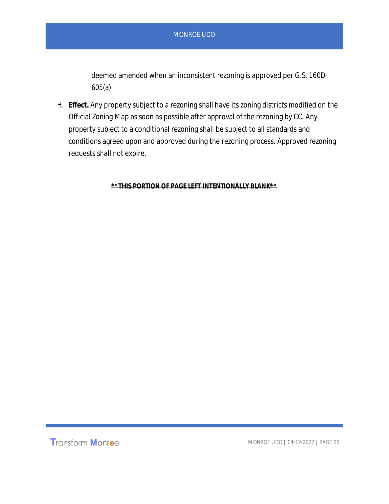deemed amended when an inconsistent rezoning is approved per G.S. 160D-605(a).

H. **Effect.** Any property subject to a rezoning shall have its zoning districts modified on the Official Zoning Map as soon as possible after approval of the rezoning by CC. Any property subject to a conditional rezoning shall be subject to all standards and conditions agreed upon and approved during the rezoning process. Approved rezoning requests shall not expire.

**\*\*THIS PORTION OF PAGE LEFT INTENTIONALLY BLANK\*\***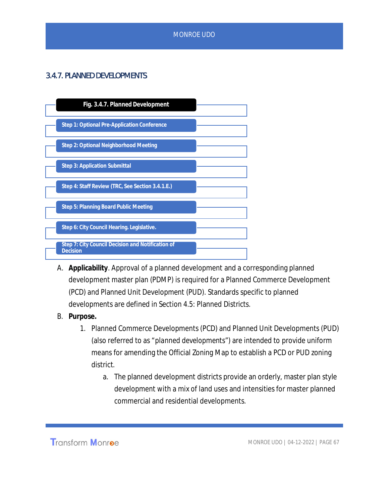# 3.4.7. PLANNED DEVELOPMENTS



- A. **Applicability**. Approval of a planned development and a corresponding planned development master plan (PDMP) is required for a Planned Commerce Development (PCD) and Planned Unit Development (PUD). Standards specific to planned developments are defined in Section 4.5: Planned Districts.
- B. **Purpose.**
	- 1. Planned Commerce Developments (PCD) and Planned Unit Developments (PUD) (also referred to as "*planned developments*") are intended to provide uniform means for amending the Official Zoning Map to establish a PCD or PUD zoning district.
		- a. The planned development districts provide an orderly, master plan style development with a mix of land uses and intensities for master planned commercial and residential developments.

Transform Monroe

MONROE UDO | 04-12-2022 | PAGE 67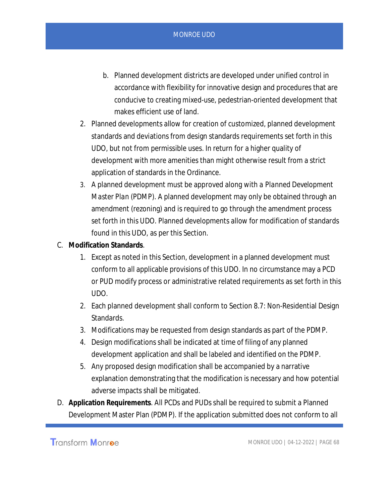- b. Planned development districts are developed under unified control in accordance with flexibility for innovative design and procedures that are conducive to creating mixed-use, pedestrian-oriented development that makes efficient use of land.
- 2. Planned developments allow for creation of customized, planned development standards and deviations from design standards requirements set forth in this UDO, but not from permissible uses. In return for a higher quality of development with more amenities than might otherwise result from a strict application of standards in the Ordinance.
- 3. A planned development must be approved along with a *Planned Development Master Plan* (PDMP). A planned development may only be obtained through an amendment (rezoning) and is required to go through the amendment process set forth in this UDO. Planned developments allow for modification of standards found in this UDO, as per this Section.
- C. **Modification Standards**.
	- 1. Except as noted in this Section, development in a planned development must conform to all applicable provisions of this UDO. In no circumstance may a PCD or PUD modify process or administrative related requirements as set forth in this UDO.
	- 2. Each planned development shall conform to Section 8.7: Non-Residential Design Standards.
	- 3. Modifications may be requested from design standards as part of the PDMP.
	- 4. Design modifications shall be indicated at time of filing of any planned development application and shall be labeled and identified on the PDMP.
	- 5. Any proposed design modification shall be accompanied by a narrative explanation demonstrating that the modification is necessary and how potential adverse impacts shall be mitigated.
- D. **Application Requirements**. All PCDs and PUDs shall be required to submit a Planned Development Master Plan (PDMP). If the application submitted does not conform to all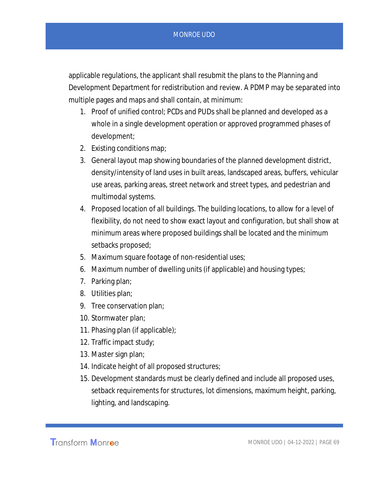applicable regulations, the applicant shall resubmit the plans to the Planning and Development Department for redistribution and review. A PDMP may be separated into multiple pages and maps and shall contain, at minimum:

- 1. Proof of unified control; PCDs and PUDs shall be planned and developed as a whole in a single development operation or approved programmed phases of development;
- 2. Existing conditions map;
- 3. General layout map showing boundaries of the planned development district, density/intensity of land uses in built areas, landscaped areas, buffers, vehicular use areas, parking areas, street network and street types, and pedestrian and multimodal systems.
- 4. Proposed location of all buildings. The building locations, to allow for a level of flexibility, do not need to show exact layout and configuration, but shall show at minimum areas where proposed buildings shall be located and the minimum setbacks proposed;
- 5. Maximum square footage of non-residential uses;
- 6. Maximum number of dwelling units (if applicable) and housing types;
- 7. Parking plan;
- 8. Utilities plan;
- 9. Tree conservation plan;
- 10. Stormwater plan;
- 11. Phasing plan (if applicable);
- 12. Traffic impact study;
- 13. Master sign plan;
- 14. Indicate height of all proposed structures;
- 15. Development standards must be clearly defined and include all proposed uses, setback requirements for structures, lot dimensions, maximum height, parking, lighting, and landscaping.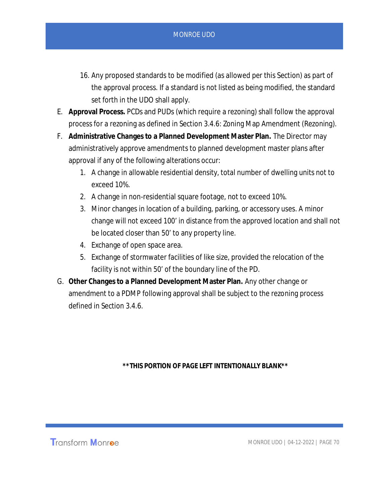- 16. Any proposed standards to be modified (as allowed per this Section) as part of the approval process. If a standard is not listed as being modified, the standard set forth in the UDO shall apply.
- E. **Approval Process.** PCDs and PUDs (which require a rezoning) shall follow the approval process for a rezoning as defined in Section 3.4.6: Zoning Map Amendment (Rezoning).
- F. **Administrative Changes to a Planned Development Master Plan.** The Director may administratively approve amendments to planned development master plans after approval if any of the following alterations occur:
	- 1. A change in allowable residential density, total number of dwelling units not to exceed 10%.
	- 2. A change in non-residential square footage, not to exceed 10%.
	- 3. Minor changes in location of a building, parking, or accessory uses. A minor change will not exceed 100' in distance from the approved location and shall not be located closer than 50' to any property line.
	- 4. Exchange of open space area.
	- 5. Exchange of stormwater facilities of like size, provided the relocation of the facility is not within 50' of the boundary line of the PD.
- G. **Other Changes to a Planned Development Master Plan.** Any other change or amendment to a PDMP following approval shall be subject to the rezoning process defined in Section 3.4.6.

**\*\*THIS PORTION OF PAGE LEFT INTENTIONALLY BLANK\*\***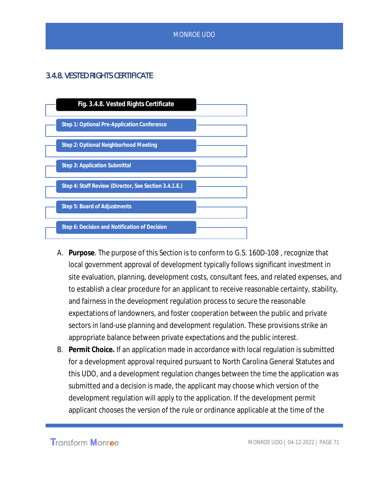# 3.4.8. VESTED RIGHTS CERTIFICATE



- A. **Purpose**. The purpose of this Section is to conform to G.S. 160D-108 , recognize that local government approval of development typically follows significant investment in site evaluation, planning, development costs, consultant fees, and related expenses, and to establish a clear procedure for an applicant to receive reasonable certainty, stability, and fairness in the development regulation process to secure the reasonable expectations of landowners, and foster cooperation between the public and private sectors in land-use planning and development regulation. These provisions strike an appropriate balance between private expectations and the public interest.
- B. **Permit Choice.** If an application made in accordance with local regulation is submitted for a development approval required pursuant to North Carolina General Statutes and this UDO, and a development regulation changes between the time the application was submitted and a decision is made, the applicant may choose which version of the development regulation will apply to the application. If the development permit applicant chooses the version of the rule or ordinance applicable at the time of the

**Transform Monroe** 

MONROE UDO | 04-12-2022 | PAGE 71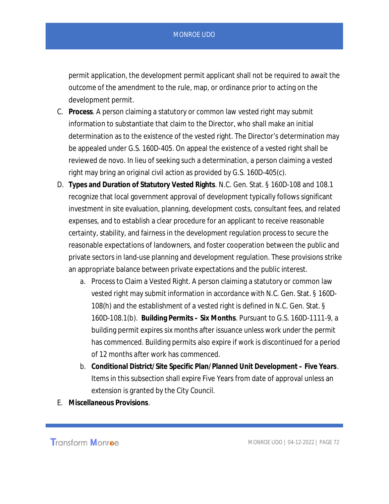permit application, the development permit applicant shall not be required to await the outcome of the amendment to the rule, map, or ordinance prior to acting on the development permit.

- C. **Process**. A person claiming a statutory or common law vested right may submit information to substantiate that claim to the Director, who shall make an initial determination as to the existence of the vested right. The Director's determination may be appealed under G.S. 160D-405. On appeal the existence of a vested right shall be reviewed de novo. In lieu of seeking such a determination, a person claiming a vested right may bring an original civil action as provided by G.S. 160D-405(c).
- D. **Types and Duration of Statutory Vested Rights**. N.C. Gen. Stat. § 160D-108 and 108.1 recognize that local government approval of development typically follows significant investment in site evaluation, planning, development costs, consultant fees, and related expenses, and to establish a clear procedure for an applicant to receive reasonable certainty, stability, and fairness in the development regulation process to secure the reasonable expectations of landowners, and foster cooperation between the public and private sectors in land-use planning and development regulation. These provisions strike an appropriate balance between private expectations and the public interest.
	- a. Process to Claim a Vested Right. A person claiming a statutory or common law vested right may submit information in accordance with N.C. Gen. Stat. § 160D-108(h) and the establishment of a vested right is defined in N.C. Gen. Stat. § 160D-108.1(b). **Building Permits – Six Months**. Pursuant to G.S. 160D-1111-9, a building permit expires six months after issuance unless work under the permit has commenced. Building permits also expire if work is discontinued for a period of 12 months after work has commenced.
	- b. **Conditional District/Site Specific Plan/Planned Unit Development Five Years**. Items in this subsection shall expire Five Years from date of approval unless an extension is granted by the City Council.
- E. **Miscellaneous Provisions**.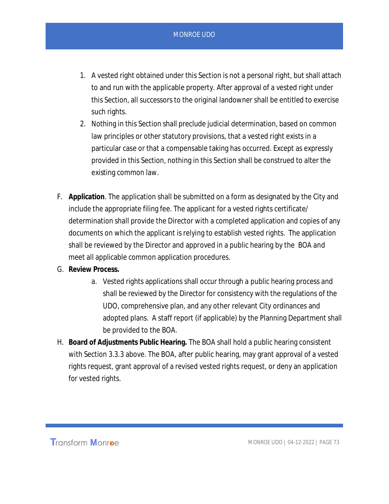- 1. A vested right obtained under this Section is not a personal right, but shall attach to and run with the applicable property. After approval of a vested right under this Section, all successors to the original landowner shall be entitled to exercise such rights.
- 2. Nothing in this Section shall preclude judicial determination, based on common law principles or other statutory provisions, that a vested right exists in a particular case or that a compensable taking has occurred. Except as expressly provided in this Section, nothing in this Section shall be construed to alter the existing common law.
- F. **Application**. The application shall be submitted on a form as designated by the City and include the appropriate filing fee. The applicant for a vested rights certificate/ determination shall provide the Director with a completed application and copies of any documents on which the applicant is relying to establish vested rights. The application shall be reviewed by the Director and approved in a public hearing by the BOA and meet all applicable common application procedures.
- G. **Review Process.**
	- a. Vested rights applications shall occur through a public hearing process and shall be reviewed by the Director for consistency with the regulations of the UDO, comprehensive plan, and any other relevant City ordinances and adopted plans. A staff report (if applicable) by the Planning Department shall be provided to the BOA.
- H. **Board of Adjustments Public Hearing.** The BOA shall hold a public hearing consistent with Section 3.3.3 above. The BOA, after public hearing, may grant approval of a vested rights request, grant approval of a revised vested rights request, or deny an application for vested rights.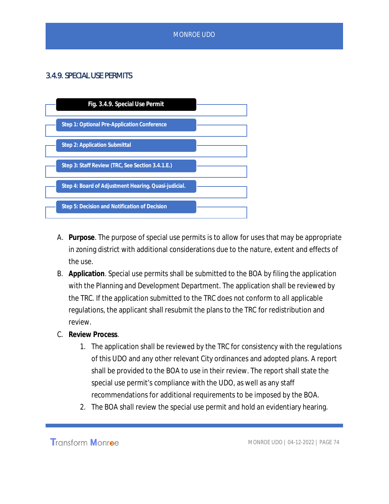## 3.4.9. SPECIAL USE PERMITS



- A. **Purpose**. The purpose of special use permits is to allow for uses that may be appropriate in zoning district with additional considerations due to the nature, extent and effects of the use.
- B. **Application**. Special use permits shall be submitted to the BOA by filing the application with the Planning and Development Department. The application shall be reviewed by the TRC. If the application submitted to the TRC does not conform to all applicable regulations, the applicant shall resubmit the plans to the TRC for redistribution and review.
- C. **Review Process**.
	- 1. The application shall be reviewed by the TRC for consistency with the regulations of this UDO and any other relevant City ordinances and adopted plans. A report shall be provided to the BOA to use in their review. The report shall state the special use permit's compliance with the UDO, as well as any staff recommendations for additional requirements to be imposed by the BOA.
	- 2. The BOA shall review the special use permit and hold an evidentiary hearing.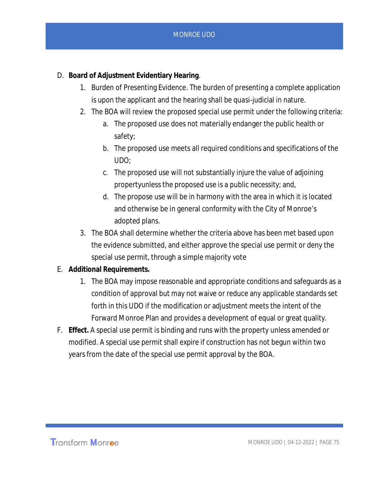- D. **Board of Adjustment Evidentiary Hearing**.
	- 1. Burden of Presenting Evidence. The burden of presenting a complete application is upon the applicant and the hearing shall be quasi-judicial in nature.
	- 2. The BOA will review the proposed special use permit under the following criteria:
		- a. The proposed use does not materially endanger the public health or safety;
		- b. The proposed use meets all required conditions and specifications of the UDO;
		- c. The proposed use will not substantially injure the value of adjoining propertyunless the proposed use is a public necessity; and,
		- d. The propose use will be in harmony with the area in which it is located and otherwise be in general conformity with the City of Monroe's adopted plans.
	- 3. The BOA shall determine whether the criteria above has been met based upon the evidence submitted, and either approve the special use permit or deny the special use permit, through a simple majority vote
- E. **Additional Requirements.**
	- 1. The BOA may impose reasonable and appropriate conditions and safeguards as a condition of approval but may not waive or reduce any applicable standards set forth in this UDO if the modification or adjustment meets the intent of the Forward Monroe Plan and provides a development of equal or great quality.
- F. **Effect.** A special use permit is binding and runs with the property unless amended or modified. A special use permit shall expire if construction has not begun within two years from the date of the special use permit approval by the BOA.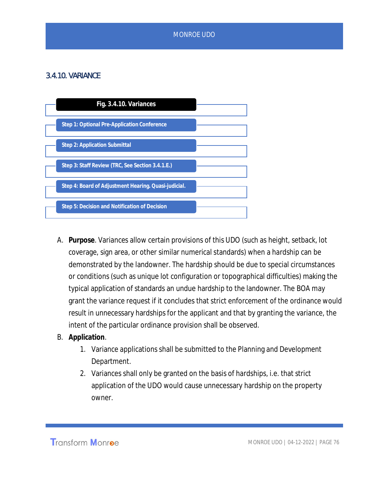# 3.4.10. VARIANCE



- A. **Purpose**. Variances allow certain provisions of this UDO (such as height, setback, lot coverage, sign area, or other similar numerical standards) when a hardship can be demonstrated by the landowner. The hardship should be due to special circumstances or conditions (such as unique lot configuration or topographical difficulties) making the typical application of standards an undue hardship to the landowner. The BOA may grant the variance request if it concludes that strict enforcement of the ordinance would result in unnecessary hardships for the applicant and that by granting the variance, the intent of the particular ordinance provision shall be observed.
- B. **Application**.
	- 1. Variance applications shall be submitted to the Planning and Development Department.
	- 2. Variances shall only be granted on the basis of hardships, i.e. that strict application of the UDO would cause unnecessary hardship on the property owner.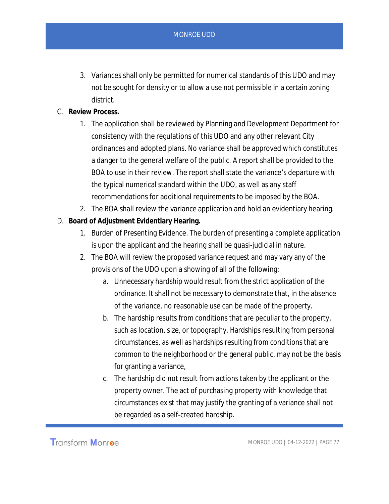- 3. Variances shall only be permitted for numerical standards of this UDO and may not be sought for density or to allow a use not permissible in a certain zoning district.
- C. **Review Process.**
	- 1. The application shall be reviewed by Planning and Development Department for consistency with the regulations of this UDO and any other relevant City ordinances and adopted plans. No variance shall be approved which constitutes a danger to the general welfare of the public. A report shall be provided to the BOA to use in their review. The report shall state the variance's departure with the typical numerical standard within the UDO, as well as any staff recommendations for additional requirements to be imposed by the BOA.
	- 2. The BOA shall review the variance application and hold an evidentiary hearing.
- D. **Board of Adjustment Evidentiary Hearing.**
	- 1. Burden of Presenting Evidence. The burden of presenting a complete application is upon the applicant and the hearing shall be quasi-judicial in nature.
	- 2. The BOA will review the proposed variance request and may vary any of the provisions of the UDO upon a showing of all of the following:
		- a. Unnecessary hardship would result from the strict application of the ordinance. It shall not be necessary to demonstrate that, in the absence of the variance, no reasonable use can be made of the property.
		- b. The hardship results from conditions that are peculiar to the property, such as location, size, or topography. Hardships resulting from personal circumstances, as well as hardships resulting from conditions that are common to the neighborhood or the general public, may not be the basis for granting a variance,
		- c. The hardship did not result from actions taken by the applicant or the property owner. The act of purchasing property with knowledge that circumstances exist that may justify the granting of a variance shall not be regarded as a self-created hardship.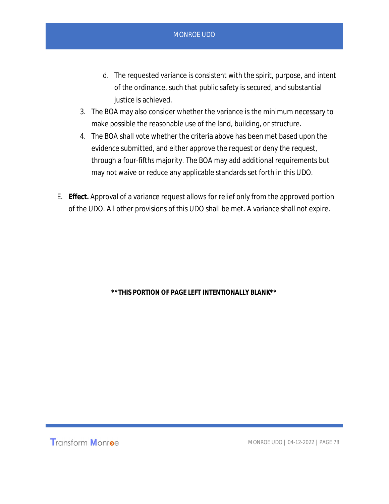- d. The requested variance is consistent with the spirit, purpose, and intent of the ordinance, such that public safety is secured, and substantial justice is achieved.
- 3. The BOA may also consider whether the variance is the minimum necessary to make possible the reasonable use of the land, building, or structure.
- 4. The BOA shall vote whether the criteria above has been met based upon the evidence submitted, and either approve the request or deny the request, through a four-fifths majority. The BOA may add additional requirements but may not waive or reduce any applicable standards set forth in this UDO.
- E. **Effect.** Approval of a variance request allows for relief only from the approved portion of the UDO. All other provisions of this UDO shall be met. A variance shall not expire.

**\*\*THIS PORTION OF PAGE LEFT INTENTIONALLY BLANK\*\***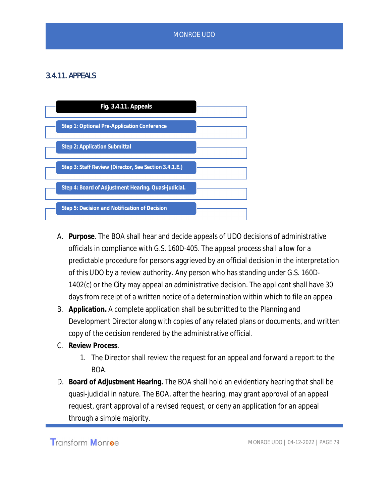# 3.4.11. APPEALS



- A. **Purpose**. The BOA shall hear and decide appeals of UDO decisions of administrative officials in compliance with G.S. 160D-405. The appeal process shall allow for a predictable procedure for persons aggrieved by an official decision in the interpretation of this UDO by a review authority. Any person who has standing under G.S. 160D-1402(c) or the City may appeal an administrative decision. The applicant shall have 30 days from receipt of a written notice of a determination within which to file an appeal.
- B. **Application.** A complete application shall be submitted to the Planning and Development Director along with copies of any related plans or documents, and written copy of the decision rendered by the administrative official.
- C. **Review Process**.
	- 1. The Director shall review the request for an appeal and forward a report to the BOA.
- D. **Board of Adjustment Hearing.** The BOA shall hold an evidentiary hearing that shall be quasi-judicial in nature. The BOA, after the hearing, may grant approval of an appeal request, grant approval of a revised request, or deny an application for an appeal through a simple majority.

Transform Monroe

MONROE UDO | 04-12-2022 | PAGE 79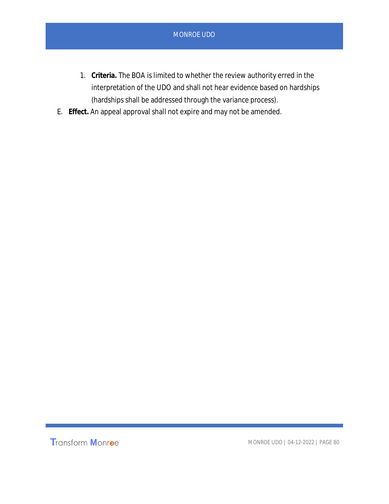- 1. **Criteria.** The BOA is limited to whether the review authority erred in the interpretation of the UDO and shall not hear evidence based on hardships (hardships shall be addressed through the variance process).
- E. **Effect.** An appeal approval shall not expire and may not be amended.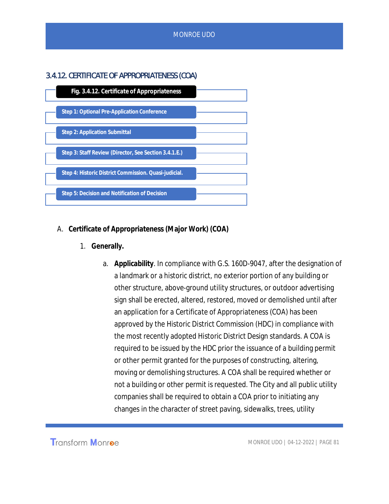# 3.4.12. CERTIFICATE OF APPROPRIATENESS (COA)



- A. **Certificate of Appropriateness (Major Work) (COA)**
	- 1. **Generally.**
		- a. **Applicability**. In compliance with G.S. 160D-9047, after the designation of a landmark or a historic district, no exterior portion of any building or other structure, above-ground utility structures, or outdoor advertising sign shall be erected, altered, restored, moved or demolished until after an application for a *Certificate of Appropriateness* (COA) has been approved by the Historic District Commission (HDC) in compliance with the most recently adopted Historic District Design standards. A COA is required to be issued by the HDC prior the issuance of a building permit or other permit granted for the purposes of constructing, altering, moving or demolishing structures. A COA shall be required whether or not a building or other permit is requested. The City and all public utility companies shall be required to obtain a COA prior to initiating any changes in the character of street paving, sidewalks, trees, utility

Transform Monroe

MONROE UDO | 04-12-2022 | PAGE 81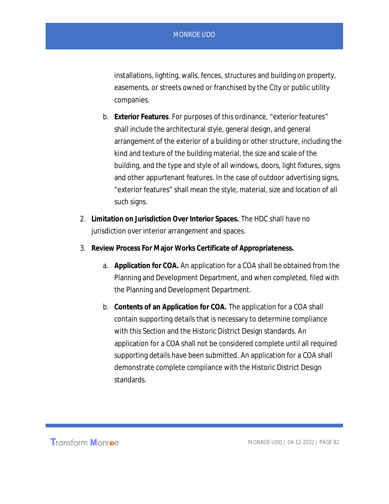installations, lighting, walls, fences, structures and building on property, easements, or streets owned or franchised by the City or public utility companies.

- b. **Exterior Features**. For purposes of this ordinance, "exterior features" shall include the architectural style, general design, and general arrangement of the exterior of a building or other structure, including the kind and texture of the building material, the size and scale of the building, and the type and style of all windows, doors, light fixtures, signs and other appurtenant features. In the case of outdoor advertising signs, "exterior features" shall mean the style, material, size and location of all such signs.
- 2. **Limitation on Jurisdiction Over Interior Spaces.** The HDC shall have no jurisdiction over interior arrangement and spaces.
- 3. **Review Process For Major Works Certificate of Appropriateness.**
	- a. **Application for COA.** An application for a COA shall be obtained from the Planning and Development Department, and when completed, filed with the Planning and Development Department.
	- b. **Contents of an Application for COA.** The application for a COA shall contain supporting details that is necessary to determine compliance with this Section and the Historic District Design standards. An application for a COA shall not be considered complete until all required supporting details have been submitted. An application for a COA shall demonstrate complete compliance with the Historic District Design standards.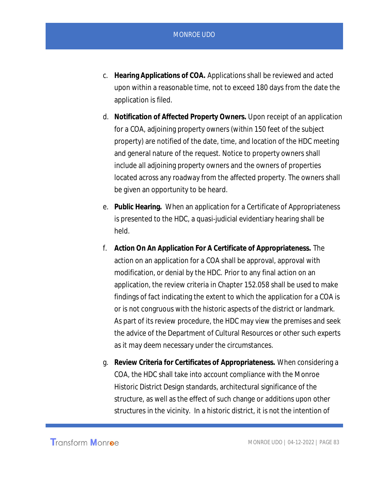- c. **Hearing Applications of COA.** Applications shall be reviewed and acted upon within a reasonable time, not to exceed 180 days from the date the application is filed.
- d. **Notification of Affected Property Owners.** Upon receipt of an application for a COA, adjoining property owners (within 150 feet of the subject property) are notified of the date, time, and location of the HDC meeting and general nature of the request. Notice to property owners shall include all adjoining property owners and the owners of properties located across any roadway from the affected property. The owners shall be given an opportunity to be heard.
- e. **Public Hearing.** When an application for a Certificate of Appropriateness is presented to the HDC, a quasi-judicial evidentiary hearing shall be held.
- f. **Action On An Application For A Certificate of Appropriateness.** The action on an application for a COA shall be approval, approval with modification, or denial by the HDC. Prior to any final action on an application, the review criteria in Chapter 152.058 shall be used to make findings of fact indicating the extent to which the application for a COA is or is not congruous with the historic aspects of the district or landmark. As part of its review procedure, the HDC may view the premises and seek the advice of the Department of Cultural Resources or other such experts as it may deem necessary under the circumstances.
- g. **Review Criteria for Certificates of Appropriateness.** When considering a COA, the HDC shall take into account compliance with the Monroe Historic District Design standards, architectural significance of the structure, as well as the effect of such change or additions upon other structures in the vicinity. In a historic district, it is not the intention of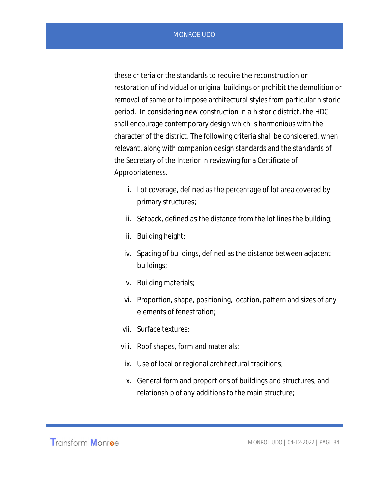these criteria or the standards to require the reconstruction or restoration of individual or original buildings or prohibit the demolition or removal of same or to impose architectural styles from particular historic period. In considering new construction in a historic district, the HDC shall encourage contemporary design which is harmonious with the character of the district. The following criteria shall be considered, when relevant, along with companion design standards and the standards of the Secretary of the Interior in reviewing for a Certificate of Appropriateness.

- i. Lot coverage, defined as the percentage of lot area covered by primary structures;
- ii. Setback, defined as the distance from the lot lines the building;
- iii. Building height;
- iv. Spacing of buildings, defined as the distance between adjacent buildings;
- v. Building materials;
- vi. Proportion, shape, positioning, location, pattern and sizes of any elements of fenestration;
- vii. Surface textures;
- viii. Roof shapes, form and materials;
- ix. Use of local or regional architectural traditions;
- x. General form and proportions of buildings and structures, and relationship of any additions to the main structure;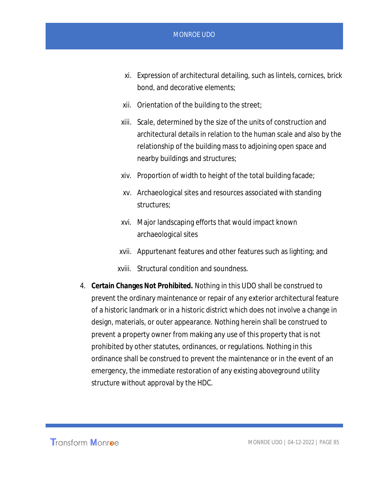- xi. Expression of architectural detailing, such as lintels, cornices, brick bond, and decorative elements;
- xii. Orientation of the building to the street;
- xiii. Scale, determined by the size of the units of construction and architectural details in relation to the human scale and also by the relationship of the building mass to adjoining open space and nearby buildings and structures;
- xiv. Proportion of width to height of the total building facade;
- xv. Archaeological sites and resources associated with standing structures;
- xvi. Major landscaping efforts that would impact known archaeological sites
- xvii. Appurtenant features and other features such as lighting; and
- xviii. Structural condition and soundness.
- 4. **Certain Changes Not Prohibited.** Nothing in this UDO shall be construed to prevent the ordinary maintenance or repair of any exterior architectural feature of a historic landmark or in a historic district which does not involve a change in design, materials, or outer appearance. Nothing herein shall be construed to prevent a property owner from making any use of this property that is not prohibited by other statutes, ordinances, or regulations. Nothing in this ordinance shall be construed to prevent the maintenance or in the event of an emergency, the immediate restoration of any existing aboveground utility structure without approval by the HDC.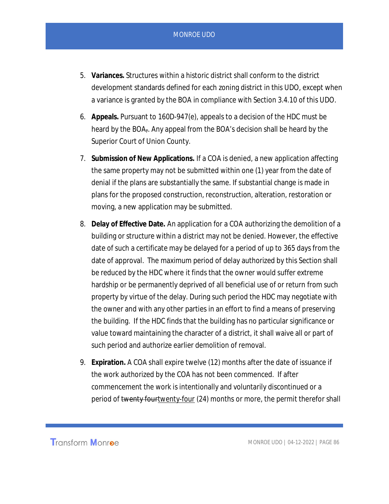- 5. **Variances.** Structures within a historic district shall conform to the district development standards defined for each zoning district in this UDO, except when a variance is granted by the BOA in compliance with Section 3.4.10 of this UDO.
- 6. **Appeals.** Pursuant to 160D-947(e), appeals to a decision of the HDC must be heard by the BOA<sub>7</sub>. Any appeal from the BOA's decision shall be heard by the Superior Court of Union County.
- 7. **Submission of New Applications.** If a COA is denied, a new application affecting the same property may not be submitted within one (1) year from the date of denial if the plans are substantially the same. If substantial change is made in plans for the proposed construction, reconstruction, alteration, restoration or moving, a new application may be submitted.
- 8. **Delay of Effective Date.** An application for a COA authorizing the demolition of a building or structure within a district may not be denied. However, the effective date of such a certificate may be delayed for a period of up to 365 days from the date of approval. The maximum period of delay authorized by this Section shall be reduced by the HDC where it finds that the owner would suffer extreme hardship or be permanently deprived of all beneficial use of or return from such property by virtue of the delay. During such period the HDC may negotiate with the owner and with any other parties in an effort to find a means of preserving the building. If the HDC finds that the building has no particular significance or value toward maintaining the character of a district, it shall waive all or part of such period and authorize earlier demolition of removal.
- 9. **Expiration.** A COA shall expire twelve (12) months after the date of issuance if the work authorized by the COA has not been commenced. If after commencement the work is intentionally and voluntarily discontinued or a period of twenty fourtwenty-four (24) months or more, the permit therefor shall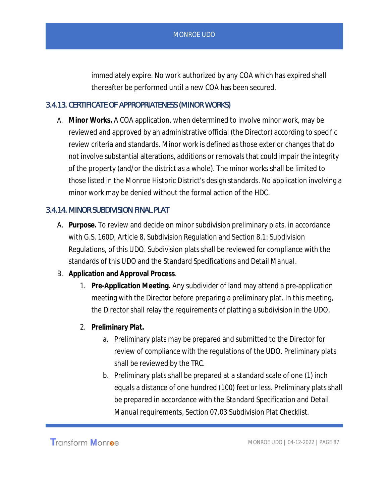immediately expire. No work authorized by any COA which has expired shall thereafter be performed until a new COA has been secured.

### 3.4.13. CERTIFICATE OF APPROPRIATENESS (MINOR WORKS)

A. **Minor Works.** A COA application, when determined to involve minor work, may be reviewed and approved by an administrative official (the Director) according to specific review criteria and standards. Minor work is defined as those exterior changes that do not involve substantial alterations, additions or removals that could impair the integrity of the property (and/or the district as a whole). The minor works shall be limited to those listed in the Monroe Historic District's design standards. No application involving a minor work may be denied without the formal action of the HDC.

### 3.4.14. MINOR SUBDIVISION FINAL PLAT

- A. **Purpose.** To review and decide on minor subdivision preliminary plats, in accordance with G.S. 160D, Article 8, Subdivision Regulation and Section 8.1: Subdivision Regulations, of this UDO. Subdivision plats shall be reviewed for compliance with the standards of this UDO and the *Standard Specifications and Detail Manual*.
- B. **Application and Approval Process**.
	- 1. **Pre-Application Meeting.** Any subdivider of land may attend a pre-application meeting with the Director before preparing a preliminary plat. In this meeting, the Director shall relay the requirements of platting a subdivision in the UDO.
	- 2. **Preliminary Plat.**
		- a. Preliminary plats may be prepared and submitted to the Director for review of compliance with the regulations of the UDO. Preliminary plats shall be reviewed by the TRC.
		- b. Preliminary plats shall be prepared at a standard scale of one (1) inch equals a distance of one hundred (100) feet or less. Preliminary plats shall be prepared in accordance with the *Standard Specification and Detail Manual* requirements, Section 07.03 Subdivision Plat Checklist.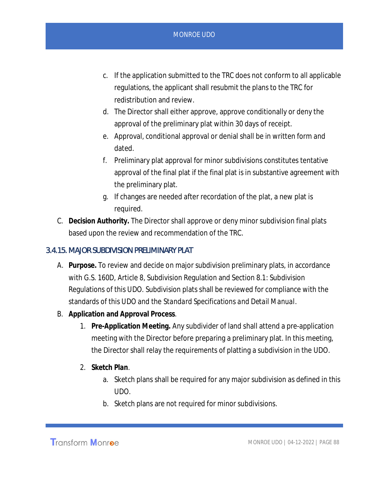- c. If the application submitted to the TRC does not conform to all applicable regulations, the applicant shall resubmit the plans to the TRC for redistribution and review.
- d. The Director shall either approve, approve conditionally or deny the approval of the preliminary plat within 30 days of receipt.
- e. Approval, conditional approval or denial shall be in written form and dated.
- f. Preliminary plat approval for minor subdivisions constitutes tentative approval of the final plat if the final plat is in substantive agreement with the preliminary plat.
- g. If changes are needed after recordation of the plat, a new plat is required.
- C. **Decision Authority.** The Director shall approve or deny minor subdivision final plats based upon the review and recommendation of the TRC.

## 3.4.15. MAJOR SUBDIVISION PRELIMINARY PLAT

- A. **Purpose.** To review and decide on major subdivision preliminary plats, in accordance with G.S. 160D, Article 8, Subdivision Regulation and Section 8.1: Subdivision Regulations of this UDO. Subdivision plats shall be reviewed for compliance with the standards of this UDO and the *Standard Specifications and Detail Manual*.
- B. **Application and Approval Process**.
	- 1. **Pre-Application Meeting.** Any subdivider of land shall attend a pre-application meeting with the Director before preparing a preliminary plat. In this meeting, the Director shall relay the requirements of platting a subdivision in the UDO.
	- 2. **Sketch Plan**.
		- a. Sketch plans shall be required for any major subdivision as defined in this UDO.
		- b. Sketch plans are not required for minor subdivisions.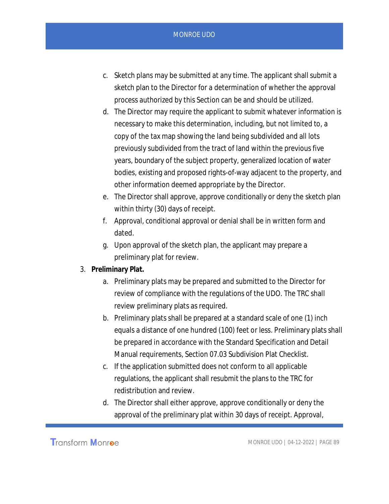- c. Sketch plans may be submitted at any time. The applicant shall submit a sketch plan to the Director for a determination of whether the approval process authorized by this Section can be and should be utilized.
- d. The Director may require the applicant to submit whatever information is necessary to make this determination, including, but not limited to, a copy of the tax map showing the land being subdivided and all lots previously subdivided from the tract of land within the previous five years, boundary of the subject property, generalized location of water bodies, existing and proposed rights-of-way adjacent to the property, and other information deemed appropriate by the Director.
- e. The Director shall approve, approve conditionally or deny the sketch plan within thirty (30) days of receipt.
- f. Approval, conditional approval or denial shall be in written form and dated.
- g. Upon approval of the sketch plan, the applicant may prepare a preliminary plat for review.
- 3. **Preliminary Plat.**
	- a. Preliminary plats may be prepared and submitted to the Director for review of compliance with the regulations of the UDO. The TRC shall review preliminary plats as required.
	- b. Preliminary plats shall be prepared at a standard scale of one (1) inch equals a distance of one hundred (100) feet or less. Preliminary plats shall be prepared in accordance with the Standard Specification and Detail Manual requirements, Section 07.03 Subdivision Plat Checklist.
	- c. If the application submitted does not conform to all applicable regulations, the applicant shall resubmit the plans to the TRC for redistribution and review.
	- d. The Director shall either approve, approve conditionally or deny the approval of the preliminary plat within 30 days of receipt. Approval,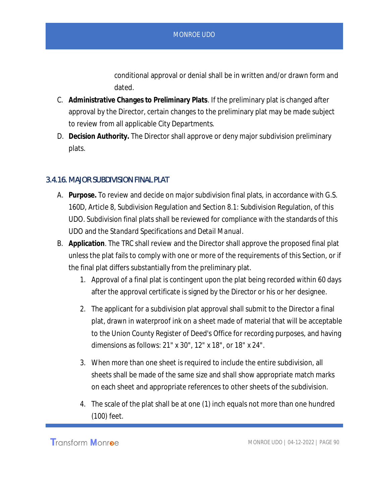conditional approval or denial shall be in written and/or drawn form and dated.

- C. **Administrative Changes to Preliminary Plats**. If the preliminary plat is changed after approval by the Director, certain changes to the preliminary plat may be made subject to review from all applicable City Departments.
- D. **Decision Authority.** The Director shall approve or deny major subdivision preliminary plats.

### 3.4.16. MAJOR SUBDIVISION FINAL PLAT

- A. **Purpose.** To review and decide on major subdivision final plats, in accordance with G.S. 160D, Article 8, Subdivision Regulation and Section 8.1: Subdivision Regulation, of this UDO. Subdivision final plats shall be reviewed for compliance with the standards of this UDO and the *Standard Specifications and Detail Manual*.
- B. **Application**. The TRC shall review and the Director shall approve the proposed final plat unless the plat fails to comply with one or more of the requirements of this Section, or if the final plat differs substantially from the preliminary plat.
	- 1. Approval of a final plat is contingent upon the plat being recorded within 60 days after the approval certificate is signed by the Director or his or her designee.
	- 2. The applicant for a subdivision plat approval shall submit to the Director a final plat, drawn in waterproof ink on a sheet made of material that will be acceptable to the Union County Register of Deed's Office for recording purposes, and having dimensions as follows: 21" x 30", 12" x 18", or 18" x 24".
	- 3. When more than one sheet is required to include the entire subdivision, all sheets shall be made of the same size and shall show appropriate match marks on each sheet and appropriate references to other sheets of the subdivision.
	- 4. The scale of the plat shall be at one (1) inch equals not more than one hundred (100) feet.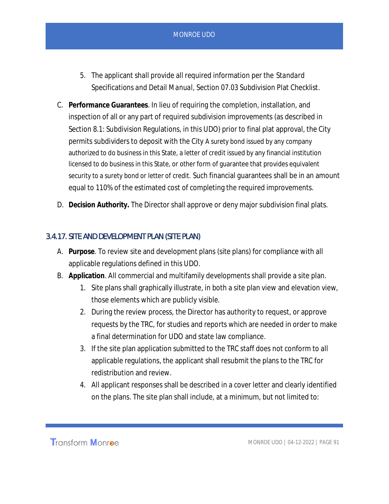- 5. The applicant shall provide all required information per the *Standard Specifications and Detail Manual*, Section 07.03 Subdivision Plat Checklist.
- C. **Performance Guarantees**. In lieu of requiring the completion, installation, and inspection of all or any part of required subdivision improvements (as described in Section 8.1: Subdivision Regulations, in this UDO) prior to final plat approval, the City permits subdividers to deposit with the City A surety bond issued by any company authorized to do business in this State, a letter of credit issued by any financial institution licensed to do business in this State, or other form of guarantee that provides equivalent security to a surety bond or letter of credit. Such financial guarantees shall be in an amount equal to 110% of the estimated cost of completing the required improvements.
- D. **Decision Authority.** The Director shall approve or deny major subdivision final plats.

### 3.4.17. SITE AND DEVELOPMENT PLAN (SITE PLAN)

- A. **Purpose**. To review site and development plans (site plans) for compliance with all applicable regulations defined in this UDO.
- B. **Application**. All commercial and multifamily developments shall provide a site plan.
	- 1. Site plans shall graphically illustrate, in both a site plan view and elevation view, those elements which are publicly visible.
	- 2. During the review process, the Director has authority to request, or approve requests by the TRC, for studies and reports which are needed in order to make a final determination for UDO and state law compliance.
	- 3. If the site plan application submitted to the TRC staff does not conform to all applicable regulations, the applicant shall resubmit the plans to the TRC for redistribution and review.
	- 4. All applicant responses shall be described in a cover letter and clearly identified on the plans. The site plan shall include, at a minimum, but not limited to: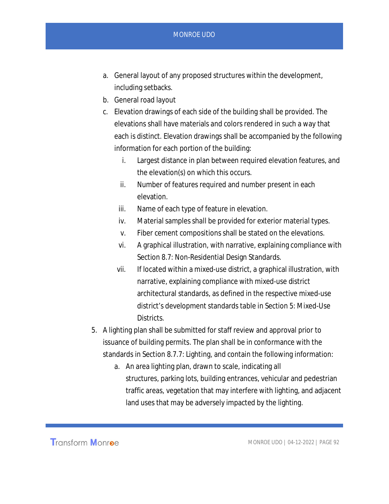- a. General layout of any proposed structures within the development, including setbacks.
- b. General road layout
- c. Elevation drawings of each side of the building shall be provided. The elevations shall have materials and colors rendered in such a way that each is distinct. Elevation drawings shall be accompanied by the following information for each portion of the building:
	- i. Largest distance in plan between required elevation features, and the elevation(s) on which this occurs.
	- ii. Number of features required and number present in each elevation.
	- iii. Name of each type of feature in elevation.
	- iv. Material samples shall be provided for exterior material types.
	- v. Fiber cement compositions shall be stated on the elevations.
	- vi. A graphical illustration, with narrative, explaining compliance with Section 8.7: Non-Residential Design Standards.
	- vii. If located within a mixed-use district, a graphical illustration, with narrative, explaining compliance with mixed-use district architectural standards, as defined in the respective mixed-use district's development standards table in Section 5: Mixed-Use Districts.
- 5. A lighting plan shall be submitted for staff review and approval prior to issuance of building permits. The plan shall be in conformance with the standards in Section 8.7.7: Lighting, and contain the following information:
	- a. An area lighting plan, drawn to scale, indicating all structures, parking lots, building entrances, vehicular and pedestrian traffic areas, vegetation that may interfere with lighting, and adjacent land uses that may be adversely impacted by the lighting.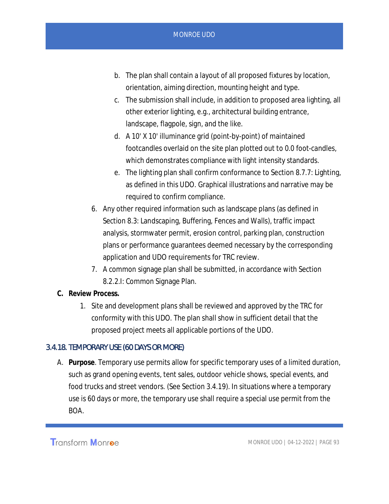- b. The plan shall contain a layout of all proposed fixtures by location, orientation, aiming direction, mounting height and type.
- c. The submission shall include, in addition to proposed area lighting, all other exterior lighting, e.g., architectural building entrance, landscape, flagpole, sign, and the like.
- d. A 10' X 10' illuminance grid (point-by-point) of maintained footcandles overlaid on the site plan plotted out to 0.0 foot-candles, which demonstrates compliance with light intensity standards.
- e. The lighting plan shall confirm conformance to Section 8.7.7: Lighting, as defined in this UDO. Graphical illustrations and narrative may be required to confirm compliance.
- 6. Any other required information such as landscape plans (as defined in Section 8.3: Landscaping, Buffering, Fences and Walls), traffic impact analysis, stormwater permit, erosion control, parking plan, construction plans or performance guarantees deemed necessary by the corresponding application and UDO requirements for TRC review.
- 7. A common signage plan shall be submitted, in accordance with Section 8.2.2.I: Common Signage Plan.
- **C. Review Process.**
	- 1. Site and development plans shall be reviewed and approved by the TRC for conformity with this UDO. The plan shall show in sufficient detail that the proposed project meets all applicable portions of the UDO.

### 3.4.18. TEMPORARY USE (60 DAYS OR MORE)

A. **Purpose**. Temporary use permits allow for specific temporary uses of a limited duration, such as grand opening events, tent sales, outdoor vehicle shows, special events, and food trucks and street vendors. (See Section 3.4.19). In situations where a temporary use is 60 days or more, the temporary use shall require a special use permit from the BOA.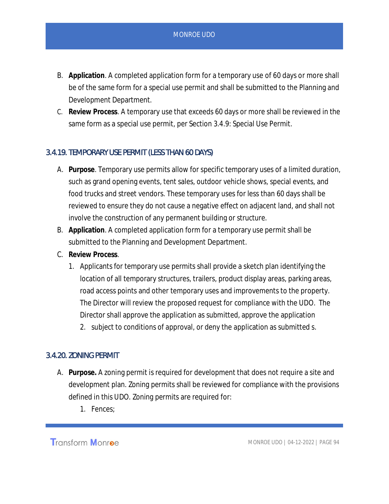- B. **Application**. A completed application form for a temporary use of 60 days or more shall be of the same form for a special use permit and shall be submitted to the Planning and Development Department.
- C. **Review Process**. A temporary use that exceeds 60 days or more shall be reviewed in the same form as a special use permit, per Section 3.4.9: Special Use Permit.

### 3.4.19. TEMPORARY USE PERMIT (LESS THAN 60 DAYS)

- A. **Purpose**. Temporary use permits allow for specific temporary uses of a limited duration, such as grand opening events, tent sales, outdoor vehicle shows, special events, and food trucks and street vendors. These temporary uses for less than 60 days shall be reviewed to ensure they do not cause a negative effect on adjacent land, and shall not involve the construction of any permanent building or structure.
- B. **Application**. A completed application form for a temporary use permit shall be submitted to the Planning and Development Department.
- C. **Review Process**.
	- 1. Applicants for temporary use permits shall provide a sketch plan identifying the location of all temporary structures, trailers, product display areas, parking areas, road access points and other temporary uses and improvements to the property. The Director will review the proposed request for compliance with the UDO. The Director shall approve the application as submitted, approve the application
		- 2. subject to conditions of approval, or deny the application as submitted s.

# 3.4.20. ZONING PERMIT

- A. **Purpose.** A zoning permit is required for development that does not require a site and development plan. Zoning permits shall be reviewed for compliance with the provisions defined in this UDO. Zoning permits are required for:
	- 1. Fences;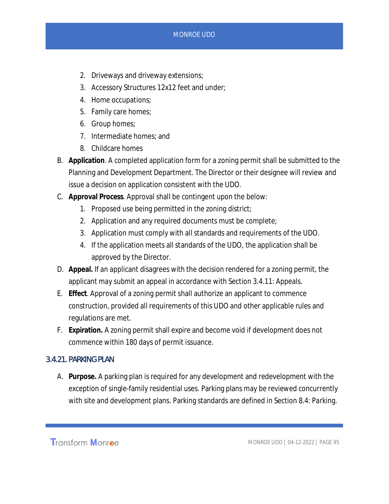- 2. Driveways and driveway extensions;
- 3. Accessory Structures 12x12 feet and under;
- 4. Home occupations;
- 5. Family care homes;
- 6. Group homes;
- 7. Intermediate homes; and
- 8. Childcare homes
- B. **Application**. A completed application form for a zoning permit shall be submitted to the Planning and Development Department. The Director or their designee will review and issue a decision on application consistent with the UDO.
- C. **Approval Process**. Approval shall be contingent upon the below:
	- 1. Proposed use being permitted in the zoning district;
	- 2. Application and any required documents must be complete;
	- 3. Application must comply with all standards and requirements of the UDO.
	- 4. If the application meets all standards of the UDO, the application shall be approved by the Director.
- D. **Appeal.** If an applicant disagrees with the decision rendered for a zoning permit, the applicant may submit an appeal in accordance with Section 3.4.11: Appeals.
- E. **Effect**. Approval of a zoning permit shall authorize an applicant to commence construction, provided all requirements of this UDO and other applicable rules and regulations are met.
- F. **Expiration.** A zoning permit shall expire and become void if development does not commence within 180 days of permit issuance.

# 3.4.21. PARKING PLAN

A. **Purpose.** A parking plan is required for any development and redevelopment with the exception of single-family residential uses. Parking plans may be reviewed concurrently with site and development plans. Parking standards are defined in Section 8.4: Parking.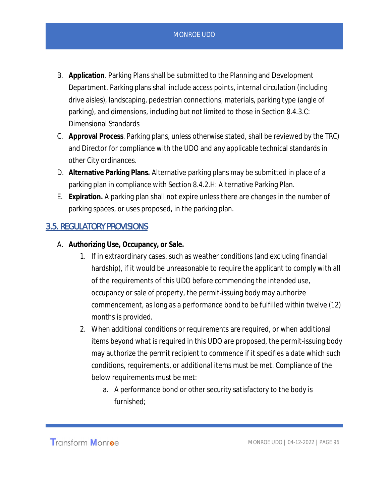- B. **Application**. Parking Plans shall be submitted to the Planning and Development Department. Parking plans shall include access points, internal circulation (including drive aisles), landscaping, pedestrian connections, materials, parking type (angle of parking), and dimensions, including but not limited to those in Section 8.4.3.C: Dimensional Standards
- C. **Approval Process**. Parking plans, unless otherwise stated, shall be reviewed by the TRC) and Director for compliance with the UDO and any applicable technical standards in other City ordinances.
- D. **Alternative Parking Plans.** Alternative parking plans may be submitted in place of a parking plan in compliance with Section 8.4.2.H: Alternative Parking Plan.
- E. **Expiration.** A parking plan shall not expire unless there are changes in the number of parking spaces, or uses proposed, in the parking plan.

# 3.5. REGULATORY PROVISIONS

- A. **Authorizing Use, Occupancy, or Sale.**
	- 1. If in extraordinary cases, such as weather conditions (and excluding financial hardship), if it would be unreasonable to require the applicant to comply with all of the requirements of this UDO before commencing the intended use, occupancy or sale of property, the permit-issuing body may authorize commencement, as long as a performance bond to be fulfilled within twelve (12) months is provided.
	- 2. When additional conditions or requirements are required, or when additional items beyond what is required in this UDO are proposed, the permit-issuing body may authorize the permit recipient to commence if it specifies a date which such conditions, requirements, or additional items must be met. Compliance of the below requirements must be met:
		- a. A performance bond or other security satisfactory to the body is furnished;

Transform Monroe

MONROE UDO | 04-12-2022 | PAGE 96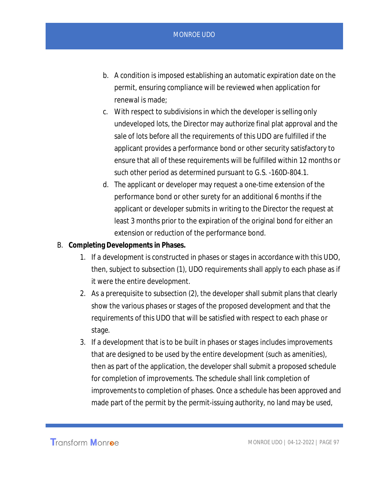- b. A condition is imposed establishing an automatic expiration date on the permit, ensuring compliance will be reviewed when application for renewal is made;
- c. With respect to subdivisions in which the developer is selling only undeveloped lots, the Director may authorize final plat approval and the sale of lots before all the requirements of this UDO are fulfilled if the applicant provides a performance bond or other security satisfactory to ensure that all of these requirements will be fulfilled within 12 months or such other period as determined pursuant to G.S. -160D-804.1.
- d. The applicant or developer may request a one-time extension of the performance bond or other surety for an additional 6 months if the applicant or developer submits in writing to the Director the request at least 3 months prior to the expiration of the original bond for either an extension or reduction of the performance bond.
- B. **Completing Developments in Phases.**
	- 1. If a development is constructed in phases or stages in accordance with this UDO, then, subject to subsection (1), UDO requirements shall apply to each phase as if it were the entire development.
	- 2. As a prerequisite to subsection (2), the developer shall submit plans that clearly show the various phases or stages of the proposed development and that the requirements of this UDO that will be satisfied with respect to each phase or stage.
	- 3. If a development that is to be built in phases or stages includes improvements that are designed to be used by the entire development (such as amenities), then as part of the application, the developer shall submit a proposed schedule for completion of improvements. The schedule shall link completion of improvements to completion of phases. Once a schedule has been approved and made part of the permit by the permit-issuing authority, no land may be used,

**Transform Monroe**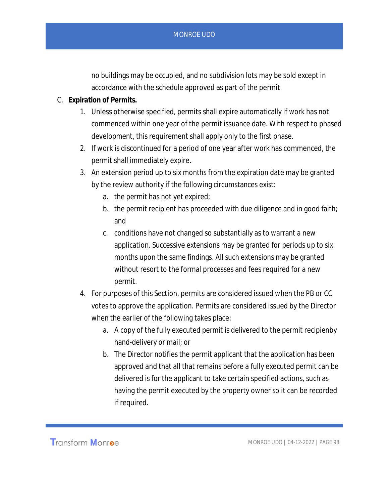no buildings may be occupied, and no subdivision lots may be sold except in accordance with the schedule approved as part of the permit.

- C. **Expiration of Permits.**
	- 1. Unless otherwise specified, permits shall expire automatically if work has not commenced within one year of the permit issuance date. With respect to phased development, this requirement shall apply only to the first phase.
	- 2. If work is discontinued for a period of one year after work has commenced, the permit shall immediately expire.
	- 3. An extension period up to six months from the expiration date may be granted by the review authority if the following circumstances exist:
		- a. the permit has not yet expired;
		- b. the permit recipient has proceeded with due diligence and in good faith; and
		- c. conditions have not changed so substantially as to warrant a new application. Successive extensions may be granted for periods up to six months upon the same findings. All such extensions may be granted without resort to the formal processes and fees required for a new permit.
	- 4. For purposes of this Section, permits are considered issued when the PB or CC votes to approve the application. Permits are considered issued by the Director when the earlier of the following takes place:
		- a. A copy of the fully executed permit is delivered to the permit recipienby hand-delivery or mail; or
		- b. The Director notifies the permit applicant that the application has been approved and that all that remains before a fully executed permit can be delivered is for the applicant to take certain specified actions, such as having the permit executed by the property owner so it can be recorded if required.

**Transform Monroe**